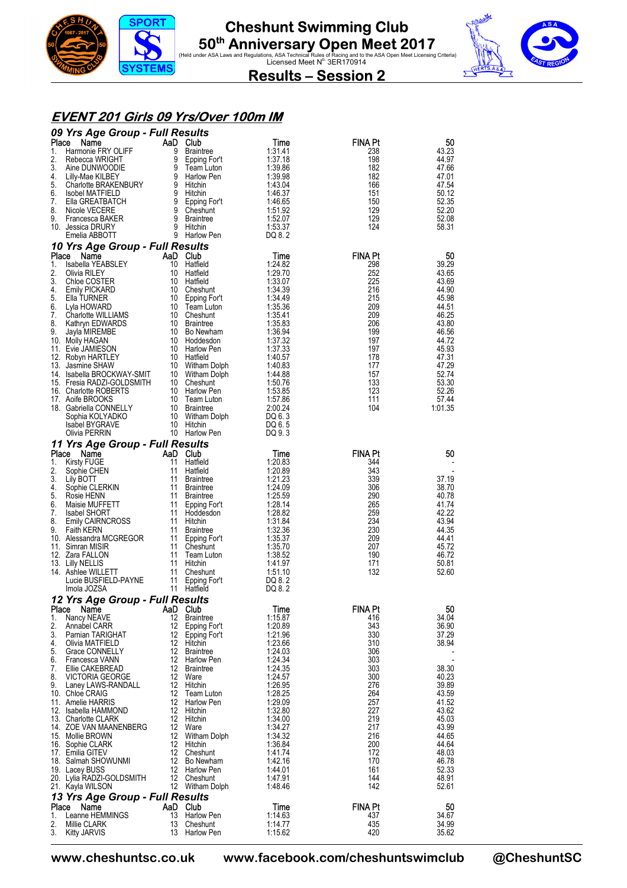



#### **EVENT 201 Girls 09 Yrs/Over 100m IM**

|             | 09 Yrs Age Group - Full Results                                                   |    |                               |                    |                       |                |
|-------------|-----------------------------------------------------------------------------------|----|-------------------------------|--------------------|-----------------------|----------------|
| Place<br>1. | Name<br>Harmonie FRY OLIFF                                                        | 9  | AaD Club<br>Braintree         | Time<br>1:31.41    | <b>FINA Pt</b><br>238 | 50<br>43.23    |
| 2.          | Rebecca WRIGHT                                                                    |    | 9 Epping For't                | 1:37.18            | 198                   | 44.97          |
| 3.          | Aine DUNWOODIE                                                                    |    | 9 Team Luton                  | 1:39.86            | 182                   | 47.66          |
| 4.          | Lilly-Mae KILBEY                                                                  |    | 9 Harlow Pen<br>9 Hitchin     | 1:39.98<br>1:43.04 | 182                   | 47.01          |
| 5.<br>6.    | Charlotte BRAKENBURY<br><b>Isobel MATFIELD</b>                                    |    | 9 Hitchin                     | 1:46.37            | 166<br>151            | 47.54<br>50.12 |
| 7.          | Ella GREATBATCH                                                                   |    | 9 Epping For't                | 1:46.65            | 150                   | 52.35          |
| 8.          | Nicole VECERE                                                                     |    | 9 Cheshunt                    | 1:51.92            | 129                   | 52.20          |
| 9.          | Francesca BAKER                                                                   |    | 9 Braintree<br>9 Hitchin      | 1:52.07            | 129                   | 52.08          |
|             | 10. Jessica DRURY<br>Emelia ABBOTT                                                |    | 9 Harlow Pen                  | 1:53.37<br>DQ 8.2  | 124                   | 58.31          |
|             | 10 Yrs Age Group - Full Results                                                   |    |                               |                    |                       |                |
| Place       | Name                                                                              |    | AaD Club                      | Time               | <b>FINA Pt</b>        | 50             |
| 1.          | Isabella YEABSLEY                                                                 |    | 10 Hatfield                   | 1:24.82            | 298                   | 39.29          |
| 2.<br>3.    | Olivia RILEY<br>Chloe COSTER                                                      |    | 10 Hatfield<br>10 Hatfield    | 1:29.70<br>1:33.07 | 252<br>225            | 43.65<br>43.69 |
| 4.          | Emily PICKARD                                                                     |    | 10 Cheshunt                   | 1:34.39            | 216                   | 44.90          |
| 5.          | Ella TURNER                                                                       |    | 10 Epping For't               | 1:34.49            | 215                   | 45.98          |
| 6.<br>7.    | Lyla HOWARD<br>Charlotte WILLIAMS                                                 |    | 10 Team Luton<br>10 Cheshunt  | 1:35.36<br>1:35.41 | 209<br>209            | 44.51<br>46.25 |
| 8.          | Kathryn EDWARDS                                                                   |    | 10 Braintree                  | 1:35.83            | 206                   | 43.80          |
| 9.          | Jayla MIREMBE                                                                     |    | 10 Bo Newham                  | 1:36.94            | 199                   | 46.56          |
|             | 10. Molly HAGAN                                                                   |    | 10 Hoddesdon                  | 1:37.32            | 197                   | 44.72          |
|             | 11. Evie JAMIESON<br>12. Robyn HARTLEY                                            |    | 10 Harlow Pen<br>10 Hatfield  | 1:37.33<br>1:40.57 | 197<br>178            | 45.93<br>47.31 |
|             | 13. Jasmine SHAW                                                                  |    | 10 Witham Dolph               | 1:40.83            | 177                   | 47.29          |
|             | 14. Isabella BROCKWAY-SMIT<br>15. Fresia RADZI-GOLDSMITH<br>16. Charlotte ROBERTS |    | 10 Witham Dolph               | 1:44.88            | 157                   | 52.74          |
|             |                                                                                   |    | 10 Cheshunt<br>10 Harlow Pen  | 1:50.76            | 133<br>123            | 53.30<br>52.26 |
|             | 16. Charlotte ROBERTS<br>17. Aoife BROOKS                                         |    | 10 Team Luton                 | 1:53.85<br>1:57.86 | 111                   | 57.44          |
|             | 18. Gabriella CONNELLY                                                            |    | 10 Braintree                  | 2:00.24            | 104                   | 1:01.35        |
|             | Sophia KOLYADKO                                                                   |    | 10 Witham Dolph               | DQ 6.3             |                       |                |
|             | Isabel BYGRAVE<br>Olivia PERRIN                                                   |    | 10 Hitchin<br>10 Harlow Pen   | DQ 6.5<br>DQ 9.3   |                       |                |
|             | 11 Yrs Age Group - Full Results                                                   |    |                               |                    |                       |                |
|             | Place<br>Name                                                                     |    | AaD Club                      | Time               | <b>FINA Pt</b>        | 50             |
|             | 1. Kirsty FUGE                                                                    |    | 11 Hatfield                   | 1:20.83            | 344                   |                |
| 2.          | Sophie CHEN                                                                       | 11 | Hatfield                      | 1:20.89            | 343                   |                |
| 3.<br>4.    | Lily BOTT<br>Sophie CLERKIN                                                       |    | 11 Braintree<br>11 Braintree  | 1:21.23<br>1:24.09 | 339<br>306            | 37.19<br>38.70 |
| 5.          | Rosie HENN                                                                        |    | 11 Braintree                  | 1:25.59            | 290                   | 40.78          |
| 6.          | Maisie MUFFETT                                                                    |    | 11 Epping For't               | 1:28.14            | 265                   | 41.74          |
| 7.<br>8.    | Isabel SHORT<br>Emily CAIRNCROSS                                                  |    | 11 Hoddesdon<br>11 Hitchin    | 1:28.82<br>1:31.84 | 259<br>234            | 42.22<br>43.94 |
| 9.          | <b>Faith KERN</b>                                                                 |    | 11 Braintree                  | 1:32.36            | 230                   | 44.35          |
|             | 10. Alessandra MCGREGOR                                                           |    | 11 Epping For't               | 1:35.37            | 209                   | 44.41          |
|             | 11. Simran MISIR                                                                  |    | 11 Cheshunt                   | 1:35.70            | 207                   | 45.72          |
|             | 12. Zara FALLON<br>13. Lilly NELLIS                                               |    | 11 Team Luton<br>11 Hitchin   | 1:38.52<br>1:41.97 | 190<br>171            | 46.72<br>50.81 |
|             | 14.   Ashlee WILLETT                                                              |    | 11 Cheshunt                   | 1:51.10            | 132                   | 52.60          |
|             | Lucie BUSFIELD-PAYNE                                                              |    | 11 Epping For't               | DQ 8.2             |                       |                |
|             | Imola JOZSA                                                                       |    | 11 Hatfield                   | DQ 8.2             |                       |                |
|             | 12 Yrs Age Group - Full Results<br>Place<br>Name                                  |    | AaD Club                      | Time               | <b>FINA Pt</b>        | 50             |
| 1.          | Nancy NEAVE                                                                       | 12 | <b>Braintree</b>              | 1:15.87            | 416                   | 34.04          |
| 2.          | Annabel CARR                                                                      | 12 | Epping For't                  | 1:20.89            | 343                   | 36.90          |
| 3.<br>4.    | Pamian TARIGHAT<br>Olivia MATFIELD                                                |    | 12 Epping For't<br>12 Hitchin | 1:21.96<br>1:23.66 | 330<br>310            | 37.29<br>38.94 |
| 5.          | Grace CONNELLY                                                                    |    | 12 Braintree                  | 1:24.03            | 306                   |                |
| 6.          | Francesca VANN                                                                    |    | 12 Harlow Pen                 | 1:24.34            | 303                   |                |
| 7.<br>8.    | Ellie CAKEBREAD<br><b>VICTORIA GEORGE</b>                                         |    | 12 Braintree<br>12 Ware       | 1:24.35<br>1:24.57 | 303<br>300            | 38.30<br>40.23 |
| 9.          | Laney LAWS-RANDALL                                                                |    | 12 Hitchin                    | 1:26.95            | 276                   | 39.89          |
|             | 10. Chloe CRAIG                                                                   | 12 | Team Luton                    | 1:28.25            | 264                   | 43.59          |
|             | 11. Amelie HARRIS                                                                 | 12 | Harlow Pen                    | 1:29.09            | 257                   | 41.52          |
|             | 12. Isabella HAMMOND<br>13. Charlotte CLARK                                       | 12 | 12 Hitchin<br>Hitchin         | 1:32.80<br>1:34.00 | 227<br>219            | 43.62<br>45.03 |
|             | 14. ZOE VAN MAANENBERG                                                            | 12 | Ware                          | 1:34.27            | 217                   | 43.99          |
|             | 15. Mollie BROWN                                                                  |    | 12 Witham Dolph               | 1:34.32            | 216                   | 44.65          |
|             | 16. Sophie CLARK<br>17. Emilia GITEV                                              |    | 12 Hitchin<br>12 Cheshunt     | 1:36.84<br>1:41.74 | 200<br>172            | 44.64<br>48.03 |
|             | 18. Salmah SHOWUNMI                                                               |    | 12 Bo Newham                  | 1:42.16            | 170                   | 46.78          |
|             | 19. Lacey BUSS                                                                    |    | 12 Harlow Pen                 | 1:44.01            | 161                   | 52.33          |
|             | 20. Lylia RADZI-GOLDSMITH                                                         |    | 12 Cheshunt                   | 1.47.91            | 144                   | 48.91          |
|             | 21.   Kayla WILSON                                                                |    | 12 Witham Dolph               | 1:48.46            | 142                   | 52.61          |
| Place       | 13 Yrs Age Group - Full Results<br>Name                                           |    | AaD Club                      | Time               | <b>FINA Pt</b>        | 50             |
| 1.          | Leanne HEMMINGS                                                                   | 13 | Harlow Pen                    | 1:14.63            | 437                   | 34.67          |
| 2.          | Millie CLARK                                                                      | 13 | Cheshunt                      | 1:14.77            | 435                   | 34.99          |
| 3.          | Kitty JARVIS                                                                      |    | 13 Harlow Pen                 | 1:15.62            | 420                   | 35.62          |

**www.cheshuntsc.co.uk www.facebook.com/cheshuntswimclub @CheshuntSC**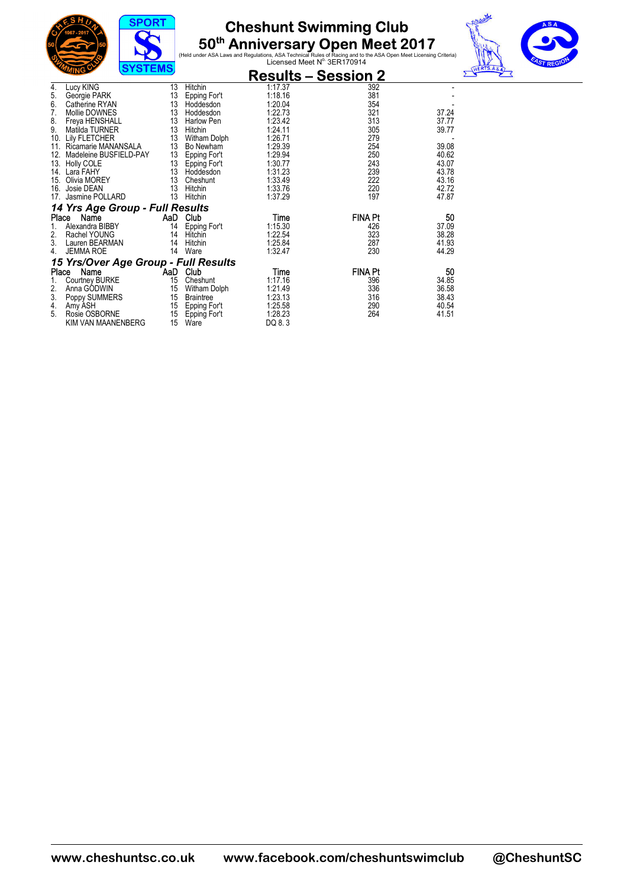





|       | ַטוויש<br>$0.01$ LIVIO               |          |                  | <b>Results – Session 2</b> |                |       |
|-------|--------------------------------------|----------|------------------|----------------------------|----------------|-------|
| 4.    | Lucy KING                            | 13       | Hitchin          | 1:17.37                    | 392            |       |
| 5.    | Georgie PARK                         | 13       | Epping For't     | 1:18.16                    | 381            |       |
| 6.    | Catherine RYAN                       | 13       | Hoddesdon        | 1:20.04                    | 354            |       |
| 7.    | Mollie DOWNES                        | 13       | Hoddesdon        | 1:22.73                    | 321            | 37.24 |
| 8.    | Freya HENSHALL                       | 13       | Harlow Pen       | 1:23.42                    | 313            | 37.77 |
| 9.    | Matilda TURNER                       | 13       | Hitchin          | 1:24.11                    | 305            | 39.77 |
| 10.   | <b>Lily FLETCHER</b>                 | 13       | Witham Dolph     | 1:26.71                    | 279            |       |
| 11.   | Ricamarie MANANSALA                  | 13       | Bo Newham        | 1:29.39                    | 254            | 39.08 |
| 12.   | Madeleine BUSFIELD-PAY               | 13       | Epping For't     | 1:29.94                    | 250            | 40.62 |
| 13.   | Holly COLE                           | 13       | Epping For't     | 1:30.77                    | 243            | 43.07 |
| 14.   | Lara FAHY                            | 13       | Hoddesdon        | 1:31.23                    | 239            | 43.78 |
| 15.   | Olivia MOREY                         | 13       | Cheshunt         | 1:33.49                    | 222            | 43.16 |
| 16.   | Josie DEAN                           | 13       | Hitchin          | 1:33.76                    | 220            | 42.72 |
| 17.   | Jasmine POLLARD                      | 13       | Hitchin          | 1:37.29                    | 197            | 47.87 |
|       | 14 Yrs Age Group - Full Results      |          |                  |                            |                |       |
| Place | Name                                 | AaD      | Club             | Time                       | <b>FINA Pt</b> | 50    |
| 1.    | Alexandra BIBBY                      | 14       | Epping For't     | 1:15.30                    | 426            | 37.09 |
| 2.    | Rachel YOUNG                         | 14       | Hitchin          | 1:22.54                    | 323            | 38.28 |
| 3.    | Lauren BEARMAN                       | 14       | Hitchin          | 1:25.84                    | 287            | 41.93 |
| 4.    | <b>JEMMA ROE</b>                     | 14       | Ware             | 1:32.47                    | 230            | 44.29 |
|       | 15 Yrs/Over Age Group - Full Results |          |                  |                            |                |       |
| Place | Name                                 | AaD Club |                  | Time                       | <b>FINA Pt</b> | 50    |
|       | <b>Courtney BURKE</b>                | 15       | Cheshunt         | 1:17.16                    | 396            | 34.85 |
| 2.    | Anna GODWIN                          | 15       | Witham Dolph     | 1:21.49                    | 336            | 36.58 |
| 3.    | Poppy SUMMERS                        | 15       | <b>Braintree</b> | 1:23.13                    | 316            | 38.43 |
| 4.    | Amy ASH                              | 15       | Epping For't     | 1:25.58                    | 290            | 40.54 |
| 5.    | Rosie OSBORNE                        | 15       | Epping For't     | 1:28.23                    | 264            | 41.51 |
|       | KIM VAN MAANENBERG                   | 15       | Ware             | DQ 8.3                     |                |       |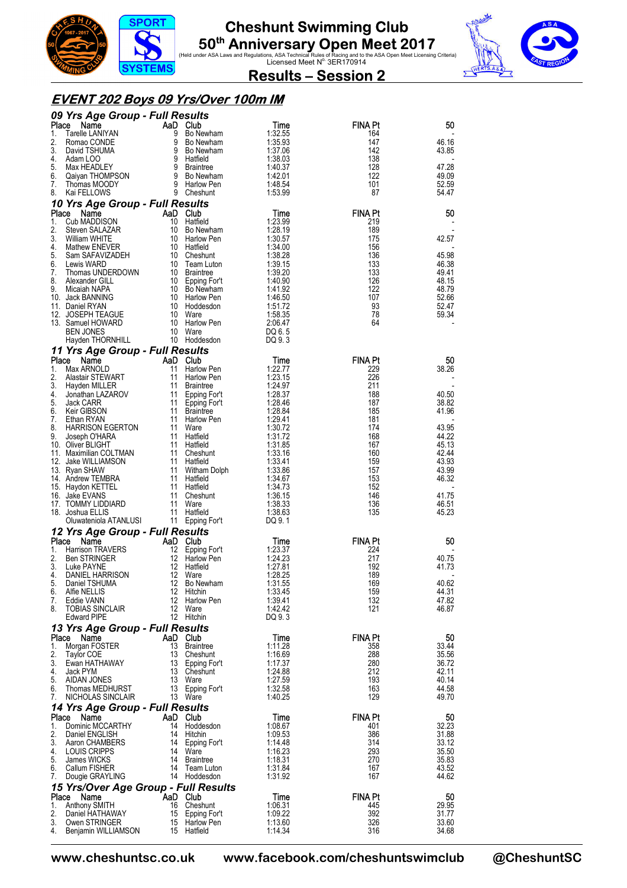





#### **EVENT 202 Boys 09 Yrs/Over 100m IM**

|             | 09 Yrs Age Group - Full Results                                                                      |             |                                                                                                 |                    |                       |                |
|-------------|------------------------------------------------------------------------------------------------------|-------------|-------------------------------------------------------------------------------------------------|--------------------|-----------------------|----------------|
| Place<br>1. | Name<br>Tarelle LANIYAN                                                                              |             | AD Club<br>9 Bo Newham<br>9 Bo Newham<br>9 Bo Newham<br>9 Bo Newham<br>9 Brahtnee<br>9 Brahtnee | Time<br>1:32.55    | FINA Pt<br>164        | 50             |
| 2.          | Romao CONDE                                                                                          |             |                                                                                                 | 1:35.93            | 147                   | 46.16          |
| 3.<br>4.    | David TSHUMA<br>Adam LOO                                                                             |             |                                                                                                 | 1:37.06<br>1:38.03 | 142<br>138            | 43.85          |
| 5.          | Max HEADLEY                                                                                          |             |                                                                                                 | 1:40.37            | 128                   | 47.28          |
| 6.          |                                                                                                      |             |                                                                                                 | 1:42.01            | 122                   | 49.09          |
| 7.<br>8.    | Caiyan THOMPSON 9 Bo Newham<br>Thomas MOODY 9 Harlow Pen<br>Kai FFI I OWS 9 Cheshunt<br>Kai FELLOWS  |             | 9 Cheshunt                                                                                      | 1.48.54<br>1:53.99 | 101<br>87             | 52.59<br>54.47 |
|             | 10 Yrs Age Group - Full Results                                                                      |             |                                                                                                 |                    |                       |                |
| Place       | Name                                                                                                 | AaD Club    |                                                                                                 | Time               | <b>FINA Pt</b>        | 50             |
| 1.          | Cub MADDISON                                                                                         | 10 Hatfield |                                                                                                 | 1:23.99            | 219                   |                |
| 2.<br>3.    | Steven SALAZAR<br>William WHITE                                                                      |             | 10 Bo Newham<br>10 Harlow Pen                                                                   | 1:28.19<br>1:30.57 | 189<br>175            | 42.57          |
| 4.          | Mathew ENEVER                                                                                        | 10 Hatfield |                                                                                                 | 1:34.00            | 156                   |                |
| 5.<br>6.    | Sam SAFAVIZADEH 10 Cheshunt<br>Lewis WARD 10 Team Lut<br>Thomas UNDERDOWN 10 Braintee<br>10 Engine F |             | 10 Cheshunt<br>10 Team Luton                                                                    | 1:38.28<br>1:39.15 | 136<br>133            | 45.98<br>46.38 |
| 7.          |                                                                                                      |             |                                                                                                 | 1:39.20            | 133                   | 49.41          |
| 8.          | Alexander GILL                                                                                       |             | 10 Epping For't                                                                                 | 1:40.90            | 126                   | 48.15          |
| 9.          | Micaiah NAPA<br>10. Jack BANNING                                                                     |             | 10 Bo Newham<br>10 Harlow Pen                                                                   | 1:41.92<br>1:46.50 | 122<br>107            | 48.79<br>52.66 |
|             | 11. Daniel RYAN                                                                                      |             | 10 Hoddesdon                                                                                    | 1:51.72            | 93                    | 52.47          |
|             | 12. JOSEPH TEAGUE                                                                                    |             | 10 Ware                                                                                         | 1:58.35            | 78                    | 59.34          |
|             | 13. Samuel HOWARD<br><b>BEN JONES</b>                                                                |             | 10 Harlow Pen<br>10 Ware                                                                        | 2:06.47<br>DQ 6.5  | 64                    |                |
|             | Hayden THORNHILL                                                                                     |             | 10 Hoddesdon                                                                                    | DQ 9.3             |                       |                |
|             | 11 Yrs Age Group - Full Results                                                                      |             |                                                                                                 |                    |                       |                |
| Place<br>1. | Name<br>Max ARNOLD                                                                                   | AaD Club    | 11 Harlow Pen                                                                                   | Time               | <b>FINA Pt</b><br>229 | 50<br>38.26    |
| 2.          | Alastair STEWART                                                                                     |             | 11 Harlow Pen                                                                                   | 1:22.77<br>1:23.15 | 226                   |                |
| 3.          | Hayden MILLER                                                                                        |             | 11 Braintree                                                                                    | 1:24.97            | 211                   |                |
| 4.<br>5.    | Jonathan LAZAROV<br>Jack CARR                                                                        |             | 11 Epping For't<br>11 Epping For't                                                              | 1:28.37<br>1:28.46 | 188<br>187            | 40.50<br>38.82 |
| 6.          | Keir GIBSON                                                                                          |             | 11 Braintree                                                                                    | 1:28.84            | 185                   | 41.96          |
| 7.          | Ethan RYAN                                                                                           |             | 11 Harlow Pen                                                                                   | 1:29.41            | 181                   |                |
| 8.<br>9.    | <b>HARRISON EGERTON</b><br>Joseph O'HARA                                                             |             | 11 Ware<br>11 Hatfield                                                                          | 1:30.72<br>1:31.72 | 174<br>168            | 43.95<br>44.22 |
|             | 10. Oliver BLIGHT                                                                                    |             | 11 Hatfield                                                                                     | 1:31.85            | 167                   | 45.13          |
|             | 11. Maximilian COLTMAN                                                                               |             | 11 Cheshunt                                                                                     | 1:33.16            | 160<br>159            | 42.44<br>43.93 |
|             | 12. Jake WILLIAMSON<br>13. Ryan SHAW                                                                 |             | 11 Hatfield<br>11 Witham Dolph                                                                  | 1:33.41<br>1:33.86 | 157                   | 43.99          |
|             | 14. Andrew TEMBRA                                                                                    |             | 11 Hatfield                                                                                     | 1:34.67            | 153                   | 46.32          |
|             | 15. Haydon KETTEL<br>16. Jake EVANS                                                                  |             | 11 Hatfield<br>11 Cheshunt                                                                      | 1:34.73<br>1:36.15 | 152<br>146            | 41.75          |
|             | 17. TOMMY LIDDIARD                                                                                   |             | 11 Ware                                                                                         | 1:38.33            | 136                   | 46.51          |
|             | 18. Joshua ELLIS                                                                                     |             | 11 Hatfield                                                                                     | 1:38.63            | 135                   | 45.23          |
|             | Oluwateniola ATANLUSI                                                                                |             | 11 Epping For't                                                                                 | DQ 9.1             |                       |                |
| Place       | 12 Yrs Age Group - Full Results<br>Name                                                              | AaD Club    |                                                                                                 | Time               | <b>FINA Pt</b>        | 50             |
| 1.          | Harrison TRAVERS                                                                                     |             |                                                                                                 | 1:23.37            | 224                   |                |
| 2.<br>3.    | <b>Ben STRINGER</b>                                                                                  |             | 12 Hatfield                                                                                     | 1:24.23<br>1:27.81 | 217<br>192            | 40.75<br>41.73 |
| 4.          | Luke PAYNE<br>DANIEL HARRISON                                                                        |             | 12 Ware                                                                                         | 1:28.25            | 189                   |                |
| 5.          | Daniel TSHUMA                                                                                        |             | 12 Bo Newham                                                                                    | 1:31.55            | 169                   | 40.62          |
| 6.<br>7.    | Alfie NELLIS<br>Eddie VANN                                                                           | 12          | 12 Hitchin<br>Harlow Pen                                                                        | 1:33.45<br>1:39.41 | 159<br>132            | 44.31<br>47.82 |
| 8.          | <b>TOBIAS SINCLAIR</b>                                                                               |             | 12 Ware                                                                                         | 1:42.42            | 121                   | 46.87          |
|             | <b>Edward PIPE</b>                                                                                   |             | 12 Hitchin                                                                                      | DQ 9.3             |                       |                |
|             | 13 Yrs Age Group - Full Results                                                                      |             |                                                                                                 |                    |                       |                |
| Place<br>1. | Name<br>Morgan FOSTER                                                                                | AaD Club    | 13 Braintree                                                                                    | Time<br>1:11.28    | <b>FINA Pt</b><br>358 | 50<br>33.44    |
| 2.          | Taylor COE                                                                                           |             | 13 Cheshunt                                                                                     | 1:16.69            | 288                   | 35.56          |
| 3.<br>4.    | Ewan HATHAWAY<br>Jack PYM                                                                            |             | 13 Epping For't<br>13 Cheshunt                                                                  | 1:17.37<br>1:24.88 | 280<br>212            | 36.72<br>42.11 |
| 5.          | AIDAN JONES                                                                                          |             | 13 Ware                                                                                         | 1:27.59            | 193                   | 40.14          |
| 6.          | Thomas MEDHURST                                                                                      |             | 13 Epping For't                                                                                 | 1:32.58            | 163                   | 44.58          |
| 7.          | NICHOLAS SINCLAIR                                                                                    |             | 13 Ware                                                                                         | 1:40.25            | 129                   | 49.70          |
|             | 14 Yrs Age Group - Full Results<br>Place Name                                                        | AaD Club    |                                                                                                 | Time               | <b>FINA Pt</b>        | 50             |
| 1.          | Dominic MCCARTHY                                                                                     |             | 14 Hoddesdon                                                                                    | 1:08.67            | 401                   | 32.23          |
| 2.          | Daniel ENGLISH                                                                                       |             | 14 Hitchin                                                                                      | 1:09.53            | 386                   | 31.88          |
| 3.<br>4.    | Aaron CHAMBERS<br>LOUIS CRIPPS                                                                       |             | 14 Epping For't<br>14 Ware                                                                      | 1:14.48<br>1:16.23 | 314<br>293            | 33.12<br>35.50 |
| 5.          | James WICKS                                                                                          |             | 14 Braintree                                                                                    | 1:18.31            | 270                   | 35.83          |
| 7.          | 6. Callum FISHER                                                                                     |             | 14 Team Luton<br>14 Hoddesdon                                                                   | 1:31.84<br>1:31.92 | 167<br>167            | 43.52<br>44.62 |
|             | Dougie GRAYLING<br>15 Yrs/Over Age Group - Full Results                                              |             |                                                                                                 |                    |                       |                |
|             | Place<br>Name                                                                                        | AaD Club    |                                                                                                 | Time               | <b>FINA Pt</b>        | 50             |
| 1.          | Anthony SMITH                                                                                        |             | 16 Cheshunt                                                                                     | 1:06.31            | 445                   | 29.95          |
| 2.<br>3.    | Daniel HATHAWAY<br>Owen STRINGER                                                                     |             | 15 Epping For't<br>15 Harlow Pen                                                                | 1:09.22<br>1:13.60 | 392<br>326            | 31.77<br>33.60 |
| 4.          | Benjamin WILLIAMSON                                                                                  |             | 15 Hatfield                                                                                     | 1:14.34            | 316                   | 34.68          |

**www.cheshuntsc.co.uk www.facebook.com/cheshuntswimclub @CheshuntSC**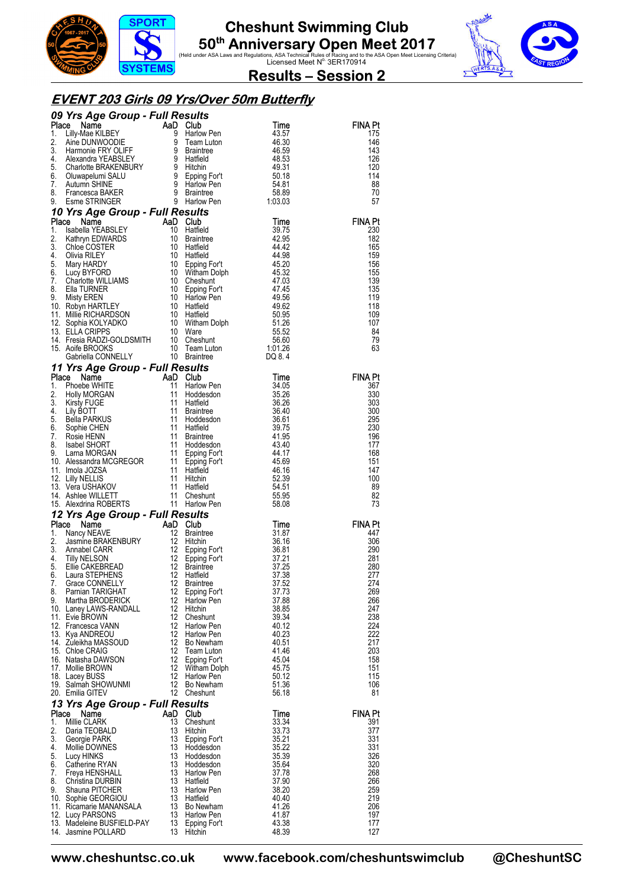





#### **EVENT 203 Girls 09 Yrs/Over 50m Butterfly**

|             | 09 Yrs Age Group - Full Results                                                                                                                                                                                                                                                          |          |                                          |                         |                       |
|-------------|------------------------------------------------------------------------------------------------------------------------------------------------------------------------------------------------------------------------------------------------------------------------------------------|----------|------------------------------------------|-------------------------|-----------------------|
| Place       | <b>FIS Age Group - Full Results<br/> Culture Mannon Carl Manno Harmonie FRY OLIFF 9 Braintne<br/> Alexandra YEABSLEY 9 Harlow Pen<br/> Alexandra YEABSLEY 9 Harlied<br/> Charlotte BRAKENBURY 9 Hitchin<br/> Charlotte BRAKENBURY 9 Hitchin<br/> Charlot</b>                             |          | Club<br>Harlow Pen                       | Time                    | FINA Pt               |
| 1.<br>2.    |                                                                                                                                                                                                                                                                                          |          |                                          | 43.57<br>46.30          | 175<br>146            |
| 3.          |                                                                                                                                                                                                                                                                                          |          |                                          | 46.59                   | 143                   |
| 4.          |                                                                                                                                                                                                                                                                                          |          |                                          | 48.53                   | 126                   |
| 5.          |                                                                                                                                                                                                                                                                                          |          |                                          | 49.31                   | 120                   |
| 6.          |                                                                                                                                                                                                                                                                                          |          |                                          | 50.18                   | 114                   |
| 7.<br>8.    |                                                                                                                                                                                                                                                                                          |          |                                          | 54.81<br>58.89          | 88<br>70              |
| 9.          |                                                                                                                                                                                                                                                                                          |          |                                          | 1:03.03                 | 57                    |
|             | 10 Yrs Age Group - Full Results<br>9. Esine Strutted <b>Age Group - Full Results</b><br><b>Place Name</b><br>1. Isabella YEABSLEY 4aD Club<br>1. Isabella YEABSLEY 10 Hatfield<br>4. Olivia RILEY 10 Hatfield<br>4. Olivia RILEY 10 Hatfield<br>5. Mary HARDY 10 Epping Fort 45.20<br>6. |          |                                          |                         |                       |
|             |                                                                                                                                                                                                                                                                                          |          | <b>es<i>uits</i></b><br>Club<br>Hatfield |                         | <b>FINA Pt</b>        |
|             |                                                                                                                                                                                                                                                                                          |          |                                          |                         | 230                   |
|             |                                                                                                                                                                                                                                                                                          |          |                                          |                         | 182                   |
|             |                                                                                                                                                                                                                                                                                          |          |                                          |                         | 165<br>159            |
|             |                                                                                                                                                                                                                                                                                          |          |                                          |                         | 156                   |
|             |                                                                                                                                                                                                                                                                                          |          |                                          |                         | 155                   |
|             |                                                                                                                                                                                                                                                                                          |          |                                          |                         | 139                   |
|             |                                                                                                                                                                                                                                                                                          |          |                                          |                         | 135<br>119            |
|             |                                                                                                                                                                                                                                                                                          |          |                                          |                         | 118                   |
|             |                                                                                                                                                                                                                                                                                          |          |                                          |                         | 109                   |
|             |                                                                                                                                                                                                                                                                                          |          |                                          |                         | 107                   |
|             |                                                                                                                                                                                                                                                                                          |          |                                          |                         | 84                    |
|             |                                                                                                                                                                                                                                                                                          |          |                                          |                         | 79<br>63              |
|             |                                                                                                                                                                                                                                                                                          |          |                                          |                         |                       |
|             |                                                                                                                                                                                                                                                                                          |          |                                          |                         |                       |
|             |                                                                                                                                                                                                                                                                                          |          |                                          |                         | <b>FINA Pt</b>        |
|             |                                                                                                                                                                                                                                                                                          |          |                                          |                         | 367                   |
|             |                                                                                                                                                                                                                                                                                          |          |                                          | 35.26                   | 330                   |
|             |                                                                                                                                                                                                                                                                                          |          |                                          | 36.26<br>36.40          | 303<br>300            |
|             |                                                                                                                                                                                                                                                                                          |          |                                          | 36.61                   | 295                   |
|             |                                                                                                                                                                                                                                                                                          |          |                                          | 39.75                   | 230                   |
|             |                                                                                                                                                                                                                                                                                          |          |                                          | 41.95                   | 196                   |
|             |                                                                                                                                                                                                                                                                                          |          |                                          | 43.40                   | 177                   |
|             |                                                                                                                                                                                                                                                                                          |          |                                          | 44.17<br>45.69          | 168<br>151            |
|             |                                                                                                                                                                                                                                                                                          |          |                                          |                         |                       |
|             |                                                                                                                                                                                                                                                                                          |          |                                          | 46.16                   | 147                   |
|             |                                                                                                                                                                                                                                                                                          |          |                                          | 52.39                   | 100                   |
|             |                                                                                                                                                                                                                                                                                          |          |                                          | 54.51                   | 89                    |
|             |                                                                                                                                                                                                                                                                                          |          |                                          | 55.95                   | 82                    |
|             |                                                                                                                                                                                                                                                                                          |          |                                          | 58.08                   | 73                    |
|             | 11 Yrs Age Group - Full Results<br>Place Name AaD Club<br>1. Phoebe WHITE 11 Harlow Pen<br>2. Holly MORGAN 11 Hadiesdon<br>4. Lily BOTT 11 Braintee<br>5. Bella PARKUS 11 Hatfield<br>6. Sophie CHEN 11 Hatfield<br>7. Rosie HENN 11 Brainte<br>12 Yrs Age Group - Full Results          |          |                                          |                         |                       |
| Place<br>1. |                                                                                                                                                                                                                                                                                          |          |                                          | Time<br>31.87           | <b>FINA Pt</b><br>447 |
| 2.          |                                                                                                                                                                                                                                                                                          |          | <b>Bound</b><br>Club<br>Braintree        | 36.16                   | 306                   |
| 3.          |                                                                                                                                                                                                                                                                                          |          |                                          | 36.81                   | 290                   |
| 4.          |                                                                                                                                                                                                                                                                                          |          |                                          | 37.21                   | 281                   |
| 5.<br>6.    |                                                                                                                                                                                                                                                                                          |          |                                          | 37.25<br>37.38          | 280<br>277            |
|             | <b>CONTRACT COMPAND CONSUMER SAID CONSUMING A SET AND COMPAND AND COMPAND AND CONSUMING A SET AND CONSUMER AND CONSUMER AND CONSUMER AND CONSUMER AND CONSUMER AND CONSUMER A SET AND A SET AND A SET AND A SET AND A SET AND A </b><br>7. Grace CONNELLY 12 Braintree                   |          |                                          | 37.52                   | 274                   |
| 8.          | Pamian TARIGHAT                                                                                                                                                                                                                                                                          | 12       | Epping For't                             | 37.73                   | 269                   |
| 9.          | Martha BRODERICK                                                                                                                                                                                                                                                                         | 12       | Harlow Pen                               | 37.88                   | 266                   |
|             | 10. Laney LAWS-RANDALL                                                                                                                                                                                                                                                                   | 12       | Hitchin                                  | 38.85                   | 247                   |
|             | 11. Evie BROWN<br>12. Francesca VANN                                                                                                                                                                                                                                                     | 12<br>12 | Cheshunt<br>Harlow Pen                   | 39.34<br>40.12          | 238<br>224            |
|             | 13. Kya ANDREOU                                                                                                                                                                                                                                                                          | 12       | <b>Harlow Pen</b>                        | 40.23                   | 222                   |
|             | 14. Zuleikha MASSOUD                                                                                                                                                                                                                                                                     | 12       | Bo Newham                                | 40.51                   | 217                   |
|             | 15. Chloe CRAIG                                                                                                                                                                                                                                                                          | 12       | Team Luton                               | 41.46                   | 203                   |
|             | 16. Natasha DAWSON                                                                                                                                                                                                                                                                       | 12<br>12 | Epping For't                             | 45.04<br>45.75          | 158<br>151            |
|             | 17. Mollie BROWN<br>18. Lacey BUSS                                                                                                                                                                                                                                                       | 12       | Witham Dolph<br><b>Harlow Pen</b>        | 50.12                   | 115                   |
|             | 19. Salmah SHOWUNMI                                                                                                                                                                                                                                                                      | 12       | Bo Newham                                | 51.36                   | 106                   |
|             | 20. Emilia GITEV                                                                                                                                                                                                                                                                         | 12       | Cheshunt                                 | 56.18                   | 81                    |
|             | 13 Yrs Age Group - Full Results                                                                                                                                                                                                                                                          |          |                                          |                         |                       |
| Place       | Name                                                                                                                                                                                                                                                                                     | AaD      | Club                                     | Time                    | <b>FINA Pt</b>        |
| 1.<br>2.    | Millie CLARK<br>Daria TEOBALD                                                                                                                                                                                                                                                            | 13<br>13 | Cheshunt<br>Hitchin                      | 33.34<br>33.73          | 391<br>377            |
| 3.          | Georgie PARK                                                                                                                                                                                                                                                                             | 13       | Epping For't                             | 35.21                   | 331                   |
| 4.          | Mollie DOWNES                                                                                                                                                                                                                                                                            | 13       | Hoddesdon                                | 35.22                   | 331                   |
| 5.          | Lucy HINKS                                                                                                                                                                                                                                                                               | 13       | Hoddesdon                                | 35.39                   | 326                   |
| 6.<br>7.    | Catherine RYAN<br>Freya HENSHALL                                                                                                                                                                                                                                                         | 13<br>13 | Hoddesdon<br>Harlow Pen                  | 35.64<br>37.78          | 320<br>268            |
| 8.          | Christina DURBIN                                                                                                                                                                                                                                                                         | 13       | Hatfield                                 | 37.90                   | 266                   |
| 9.          | Shauna PITCHER                                                                                                                                                                                                                                                                           | 13       | Harlow Pen                               | 38.20                   | 259                   |
|             | 10. Sophie GEORGIOU                                                                                                                                                                                                                                                                      | 13       | Hatfield                                 | 40.40                   | 219                   |
|             | 11. Ricamarie MANANSALA                                                                                                                                                                                                                                                                  | 13       | Bo Newham                                | 41.26                   | 206                   |
|             | 12. Lucy PARSONS<br>13. Madeleine BUSFIELD-PAY                                                                                                                                                                                                                                           | 13<br>13 | Harlow Pen<br>Epping For't<br>13 Hitchin | 41.87<br>43.38<br>48.39 | 197<br>177<br>127     |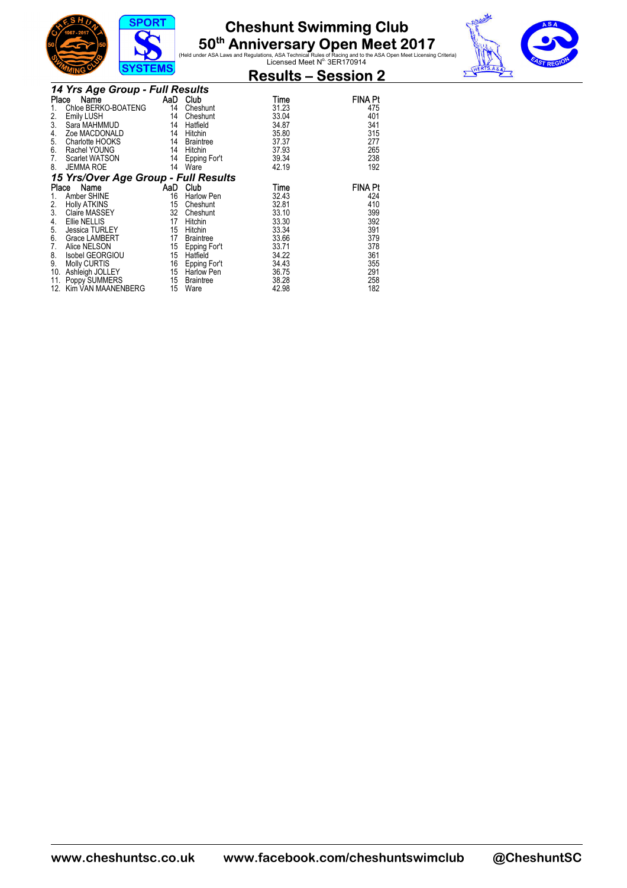





|                 |                                      | 0101LM0 |                   | <b>Results – Session 2</b> |                |
|-----------------|--------------------------------------|---------|-------------------|----------------------------|----------------|
|                 | 14 Yrs Age Group - Full Results      |         |                   |                            |                |
| Place           | Name                                 |         | AaD Club          | Time                       | <b>FINA Pt</b> |
| 1.              | Chloe BERKO-BOATENG                  | 14      | Cheshunt          | 31.23                      | 475            |
| 2.              | Emily LUSH                           | 14      | Cheshunt          | 33.04                      | 401            |
| 3.              | Sara MAHMMUD                         | 14      | Hatfield          | 34.87                      | 341            |
| 4.              | Zoe MACDONALD                        | 14      | Hitchin           | 35.80                      | 315            |
| 5.              | Charlotte HOOKS                      | 14      | <b>Braintree</b>  | 37.37                      | 277            |
| 6.              | Rachel YOUNG                         | 14      | Hitchin           | 37.93                      | 265            |
| 7.              | Scarlet WATSON                       | 14      | Epping For't      | 39.34                      | 238            |
| 8.              | <b>JEMMA ROE</b>                     | 14      | Ware              | 42.19                      | 192            |
|                 | 15 Yrs/Over Age Group - Full Results |         |                   |                            |                |
| Place           | Name                                 |         | AaD Club          | Time                       | <b>FINA Pt</b> |
| 1.              | Amber SHINE                          | 16      | Harlow Pen        | 32.43                      | 424            |
| $\frac{2}{3}$ . | <b>Holly ATKINS</b>                  | 15      | Cheshunt          | 32.81                      | 410            |
|                 | Claire MASSEY                        | 32      | Cheshunt          | 33.10                      | 399            |
| 4.              | Ellie NELLIS                         | 17      | Hitchin           | 33.30                      | 392            |
| 5.              | Jessica TURLEY                       | 15      | Hitchin           | 33.34                      | 391            |
| 6.              | Grace LAMBERT                        | 17      | <b>Braintree</b>  | 33.66                      | 379            |
| 7.              | Alice NELSON                         | 15      | Epping For't      | 33.71                      | 378            |
| 8.              | Isobel GEORGIOU                      | 15      | Hatfield          | 34.22                      | 361            |
| 9.              | Molly CURTIS                         | 16      | Epping For't      | 34.43                      | 355            |
| 10.             | Ashleigh JOLLEY                      | 15      | <b>Harlow Pen</b> | 36.75                      | 291            |
| 11.             | Poppy SUMMERS                        | 15      | Braintree         | 38.28                      | 258            |
| 12.             | Kim VAN MAANENBERG                   | 15      | Ware              | 42.98                      | 182            |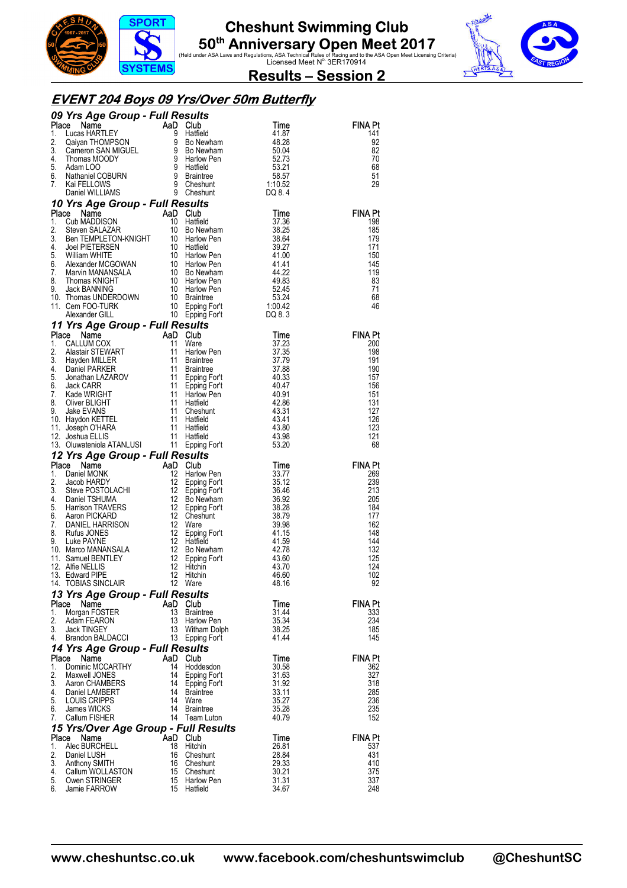





### **EVENT 204 Boys 09 Yrs/Over 50m Butterfly**

|          |                                                                                                                                                                                                                                                         |    |                                 |                | <b>FINA Pt</b> |
|----------|---------------------------------------------------------------------------------------------------------------------------------------------------------------------------------------------------------------------------------------------------------|----|---------------------------------|----------------|----------------|
|          |                                                                                                                                                                                                                                                         |    |                                 |                | 141<br>92      |
|          |                                                                                                                                                                                                                                                         |    |                                 |                | 82             |
|          |                                                                                                                                                                                                                                                         |    |                                 |                | 70             |
|          |                                                                                                                                                                                                                                                         |    |                                 |                | 68             |
|          |                                                                                                                                                                                                                                                         |    |                                 |                | 51             |
|          |                                                                                                                                                                                                                                                         |    |                                 |                | 29             |
|          |                                                                                                                                                                                                                                                         |    |                                 |                |                |
|          |                                                                                                                                                                                                                                                         |    |                                 |                |                |
|          |                                                                                                                                                                                                                                                         |    |                                 |                | <b>FINA Pt</b> |
|          |                                                                                                                                                                                                                                                         |    |                                 |                | 198            |
|          |                                                                                                                                                                                                                                                         |    |                                 |                | 185<br>179     |
|          |                                                                                                                                                                                                                                                         |    |                                 |                | 171            |
|          |                                                                                                                                                                                                                                                         |    |                                 |                | 150            |
|          |                                                                                                                                                                                                                                                         |    |                                 |                | 145            |
|          |                                                                                                                                                                                                                                                         |    |                                 |                | 119            |
|          |                                                                                                                                                                                                                                                         |    |                                 |                | 83             |
|          |                                                                                                                                                                                                                                                         |    |                                 |                | 71             |
|          |                                                                                                                                                                                                                                                         |    |                                 |                | 68<br>46       |
|          |                                                                                                                                                                                                                                                         |    |                                 |                |                |
|          |                                                                                                                                                                                                                                                         |    |                                 |                |                |
|          |                                                                                                                                                                                                                                                         |    |                                 |                | <b>FINA Pt</b> |
|          |                                                                                                                                                                                                                                                         |    |                                 |                | 200            |
|          |                                                                                                                                                                                                                                                         |    |                                 |                | 198            |
|          |                                                                                                                                                                                                                                                         |    |                                 |                | 191            |
|          |                                                                                                                                                                                                                                                         |    |                                 |                | 190            |
|          |                                                                                                                                                                                                                                                         |    |                                 |                | 157<br>156     |
|          |                                                                                                                                                                                                                                                         |    |                                 |                | 151            |
|          |                                                                                                                                                                                                                                                         |    |                                 |                | 131            |
|          |                                                                                                                                                                                                                                                         |    |                                 |                | 127            |
|          |                                                                                                                                                                                                                                                         |    |                                 |                | 126            |
|          |                                                                                                                                                                                                                                                         |    |                                 |                | 123            |
|          |                                                                                                                                                                                                                                                         |    |                                 |                | 121            |
|          |                                                                                                                                                                                                                                                         |    |                                 |                |                |
|          |                                                                                                                                                                                                                                                         |    |                                 |                | 68             |
|          |                                                                                                                                                                                                                                                         |    |                                 |                |                |
|          |                                                                                                                                                                                                                                                         |    |                                 |                | <b>FINA Pt</b> |
|          |                                                                                                                                                                                                                                                         |    |                                 |                | 269            |
|          |                                                                                                                                                                                                                                                         |    |                                 |                | 239<br>213     |
|          |                                                                                                                                                                                                                                                         |    |                                 |                | 205            |
|          |                                                                                                                                                                                                                                                         |    |                                 |                | 184            |
|          |                                                                                                                                                                                                                                                         |    |                                 |                | 177            |
|          |                                                                                                                                                                                                                                                         |    |                                 |                | 162            |
|          |                                                                                                                                                                                                                                                         |    |                                 |                | 148            |
|          |                                                                                                                                                                                                                                                         |    |                                 |                | 144<br>132     |
|          |                                                                                                                                                                                                                                                         |    |                                 |                | 125            |
|          |                                                                                                                                                                                                                                                         |    |                                 |                | 124            |
|          |                                                                                                                                                                                                                                                         |    |                                 |                | 102            |
|          |                                                                                                                                                                                                                                                         |    |                                 |                | 92             |
|          | 13 Yrs Age Group - Full Results                                                                                                                                                                                                                         |    |                                 |                |                |
| Place    | Name                                                                                                                                                                                                                                                    |    | AaD Club                        | Time           | FINA Pt        |
| 1.       | 09 Yrs Agre Group - Full Results<br>1. Lucs: HARRIELY (1898)<br>1. Lucs: HARRIELY 1. Jucs: HARRIELY 1. Jucs: HARRIELY 1. Jucs: HARRIELY 1. Julian MANUS 1.<br>1. Samma MADION 1. Samma MADION 1. Samma MADION 1. Samma MADION 1.<br>1.<br>Morgan FOSTER | 13 | Braintree                       | 31.44          | 333            |
| 2.       | Adam FEARON                                                                                                                                                                                                                                             | 13 | <b>Harlow Pen</b>               | 35.34          | 234            |
| 3.<br>4. | Jack TINGEY<br>Brandon BALDACCI                                                                                                                                                                                                                         | 13 | Witham Dolph<br>13 Epping For't | 38.25<br>41.44 | 185<br>145     |
|          |                                                                                                                                                                                                                                                         |    |                                 |                |                |
| Place    | 14 Yrs Age Group - Full Results<br>Name                                                                                                                                                                                                                 |    | AaD Club                        | Time           | <b>FINA Pt</b> |
| 1.       | Dominic MCCARTHY                                                                                                                                                                                                                                        |    | 14 Hoddesdon                    | 30.58          | 362            |
| 2.       | Maxwell JONES                                                                                                                                                                                                                                           |    | 14 Epping For't                 | 31.63          | 327            |
| 3.       | Aaron CHAMBERS                                                                                                                                                                                                                                          |    | 14 Epping For't                 | 31.92          | 318            |
| 4.       | Daniel LAMBERT                                                                                                                                                                                                                                          |    | 14 Braintree                    | 33.11          | 285            |
| 5.<br>6. | LOUIS CRIPPS<br>James WICKS                                                                                                                                                                                                                             | 14 | Ware                            | 35.27          | 236            |
| 7.       | Callum FISHER                                                                                                                                                                                                                                           |    | 14 Braintree<br>14 Team Luton   | 35.28<br>40.79 | 235<br>152     |
|          |                                                                                                                                                                                                                                                         |    |                                 |                |                |
| Place    | 15 Yrs/Over Age Group - Full Results<br>Name                                                                                                                                                                                                            |    | AaD Club                        | Time           | FINA Pt        |
| 1.       | Alec BURCHELL                                                                                                                                                                                                                                           | 18 | Hitchin                         | 26.81          | 537            |
| 2.       | Daniel LUSH                                                                                                                                                                                                                                             | 16 | Cheshunt                        | 28.84          | 431            |
| 3.       | Anthony SMITH                                                                                                                                                                                                                                           | 16 | Cheshunt                        | 29.33          | 410            |
| 4.<br>5. | Callum WOLLASTON<br>Owen STRINGER                                                                                                                                                                                                                       |    | 15 Cheshunt<br>15 Harlow Pen    | 30.21<br>31.31 | 375<br>337     |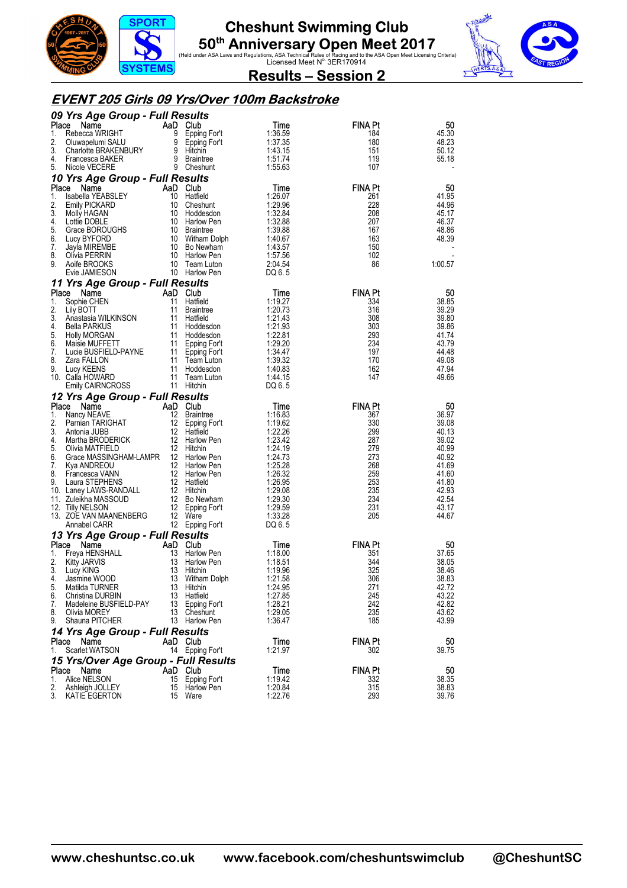





#### **EVENT 205 Girls 09 Yrs/Over 100m Backstroke**

|              | 09 Yrs Age Group - Full Results                       |          |                              |                    |                |                |
|--------------|-------------------------------------------------------|----------|------------------------------|--------------------|----------------|----------------|
| Place        | Name                                                  |          | AaD Club                     | Time               | <b>FINA Pt</b> | 50             |
| 1.<br>2.     | Rebecca WRIGHT                                        | 9        | Epping For't                 | 1:36.59            | 184            | 45.30          |
| 3.           | Oluwapelumi SALU<br>Charlotte BRAKENBURY              | 9<br>9   | Epping For't<br>Hitchin      | 1:37.35<br>1:43.15 | 180<br>151     | 48.23<br>50.12 |
| 4.           | Francesca BAKER                                       |          | 9 Braintree                  | 1:51.74            | 119            | 55.18          |
| 5.           | Nicole VECERE                                         |          | 9 Cheshunt                   | 1:55.63            | 107            |                |
|              | 10 Yrs Age Group - Full Results                       |          |                              |                    |                |                |
| Place        | Name                                                  |          | AaD Club                     | Time               | <b>FINA Pt</b> | 50             |
| 1.           | Isabella YEABSLEY                                     |          | 10 Hatfield                  | 1:26.07            | 261            | 41.95          |
| 2.<br>3.     | <b>Emily PICKARD</b><br>Molly HAGAN                   | 10<br>10 | Cheshunt<br>Hoddesdon        | 1:29.96<br>1:32.84 | 228<br>208     | 44.96<br>45.17 |
| 4.           | Lottie DOBLE                                          |          | 10 Harlow Pen                | 1:32.88            | 207            | 46.37          |
| 5.           | Grace BOROUGHS                                        |          | 10 Braintree                 | 1:39.88            | 167            | 48.86          |
| 6.           | Lucy BYFORD                                           |          | 10 Witham Dolph              | 1:40.67            | 163            | 48.39          |
| 7.           | Jayla MIREMBE                                         |          | 10 Bo Newham                 | 1:43.57            | 150            |                |
| 8.<br>9.     | Olivia PERRIN<br>Aoife BROOKS                         | 10<br>10 | Harlow Pen<br>Team Luton     | 1:57.56<br>2:04.54 | 102<br>86      | 1:00.57        |
|              | Evie JAMIESON                                         |          | 10 Harlow Pen                | DQ 6.5             |                |                |
|              | 11 Yrs Age Group - Full Results                       |          |                              |                    |                |                |
| Place        | Name                                                  | AaD.     | <b>Club</b>                  | Time               | <b>FINA Pt</b> | 50             |
| 1.           | Sophie CHEN                                           | 11       | Hatfield                     | 1:19.27            | 334            | 38.85          |
| 2.           | Lily BOTT                                             |          | 11 Braintree                 | 1:20.73            | 316            | 39.29          |
| 3.<br>4.     | Anastasia WILKINSON<br><b>Bella PARKUS</b>            | 11       | 11 Hatfield<br>Hoddesdon     | 1:21.43<br>1:21.93 | 308<br>303     | 39.80<br>39.86 |
| 5.           | <b>Holly MORGAN</b>                                   |          | 11 Hoddesdon                 | 1:22.81            | 293            | 41.74          |
| 6.           | Maisie MUFFETT                                        |          | 11 Epping For't              | 1:29.20            | 234            | 43.79          |
| 7.           | Lucie BUSFIELD-PAYNE                                  | 11       | Epping For't                 | 1:34.47            | 197            | 44.48          |
| 8.           | Zara FALLON                                           | 11       | Team Luton                   | 1:39.32            | 170            | 49.08          |
| 9.           | Lucy KEENS<br>10. Calla HOWARD                        | 11<br>11 | Hoddesdon<br>Team Luton      | 1:40.83<br>1:44.15 | 162<br>147     | 47.94<br>49.66 |
|              | <b>Emily CAIRNCROSS</b>                               |          | 11 Hitchin                   | DQ 6.5             |                |                |
|              | 12 Yrs Age Group - Full Results                       |          |                              |                    |                |                |
| Place        | Name                                                  |          | AaD Club                     | Time               | <b>FINA Pt</b> | 50             |
| 1.           | Nancy NEAVE                                           | 12       | <b>Braintree</b>             | 1:16.83            | 367            | 36.97          |
| 2.           | Pamian TARIGHAT                                       | 12       | Epping For't                 | 1:19.62            | 330            | 39.08          |
| 3.<br>4.     | Antonia JUBB<br>Martha BRODERICK                      |          | 12 Hatfield<br>12 Harlow Pen | 1:22.26<br>1:23.42 | 299<br>287     | 40.13<br>39.02 |
| 5.           | Olivia MATFIELD                                       |          | 12 Hitchin                   | 1:24.19            | 279            | 40.99          |
| 6.           | Grace MASSINGHAM-LAMPR                                |          | 12 Harlow Pen                | 1:24.73            | 273            | 40.92          |
| 7.           | Kya ANDREOU                                           |          | 12 Harlow Pen                | 1:25.28            | 268            | 41.69          |
| 8.           | Francesca VANN                                        |          | 12 Harlow Pen                | 1:26.32            | 259            | 41.60          |
| 9.           | Laura STEPHENS<br>10. Laney LAWS-RANDALL              |          | 12 Hatfield<br>12 Hitchin    | 1:26.95<br>1:29.08 | 253<br>235     | 41.80<br>42.93 |
|              | 11. Zuleikha MASSOUD                                  |          | 12 Bo Newham                 | 1:29.30            | 234            | 42.54          |
|              | 12. Tilly NELSON                                      |          | 12 Epping For't              | 1:29.59            | 231            | 43.17          |
|              | 13. ZOE VAN MAANENBERG                                | 12       | Ware                         | 1:33.28            | 205            | 44.67          |
|              | Annabel CARR                                          |          | 12 Epping For't              | DQ 6.5             |                |                |
| <b>Place</b> | 13 Yrs Age Group - Full Results<br>Name               |          | AaD Club                     | Time               | <b>FINA Pt</b> | 50             |
| 1.           | Freya HENSHALL                                        | 13       | Harlow Pen                   | 1:18.00            | 351            | 37.65          |
| 2.           | <b>Kitty JARVIS</b>                                   | 13       | Harlow Pen                   | 1:18.51            | 344            | 38.05          |
| 3.           | Lucy KING                                             | 13       | Hitchin                      | 1:19.96            | 325            | 38.46          |
| 4.           | Jasmine WOOD                                          | 13       | Witham Dolph                 | 1:21.58            | 306            | 38.83          |
| 5.<br>6.     | Matilda TURNER<br>Christina DURBIN                    | 13<br>13 | Hitchin<br>Hatfield          | 1:24.95<br>1:27.85 | 271<br>245     | 42.72<br>43.22 |
| 7.           | Madeleine BUSFIELD-PAY                                | 13       | Epping For't                 | 1:28.21            | 242            | 42.82          |
| 8.           | Olivia MOREY                                          |          | 13 Cheshunt                  | 1:29.05            | 235            | 43.62          |
| 9.           | Shauna PITCHER                                        |          | 13 Harlow Pen                | 1:36.47            | 185            | 43.99          |
|              | 14 Yrs Age Group - Full Results                       |          |                              |                    |                |                |
|              | Place Name                                            |          | AaD Club                     | Time               | <b>FINA Pt</b> | 50             |
| 1.           | Scarlet WATSON                                        |          | 14 Epping For't              | 1:21.97            | 302            | 39.75          |
|              | 15 Yrs/Over Age Group - Full Results<br>Name<br>Place |          | AaD Club                     | Time               | FINA Pt        | 50             |
| 1.           | Alice NELSON                                          |          | 15 Epping For't              | 1:19.42            | 332            | 38.35          |
| 2.           | Ashleigh JOLLEY                                       |          | 15 Harlow Pen                | 1:20.84            | 315            | 38.83          |
| 3.           | KATIE EGERTON                                         |          | 15 Ware                      | 1:22.76            | 293            | 39.76          |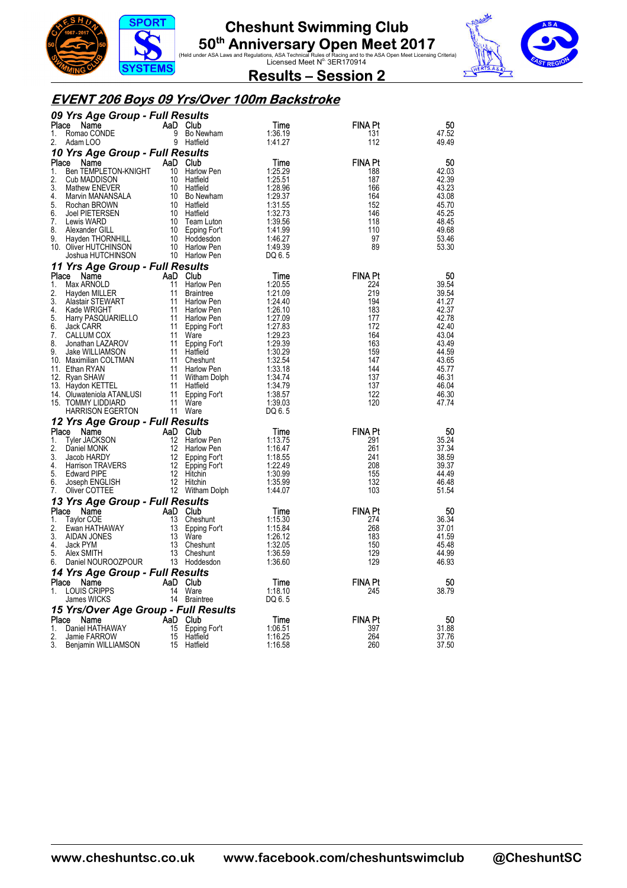



 $\overline{\mathbf{v}}$ 

**Results – Session 2** 

### **EVENT 206 Boys 09 Yrs/Over 100m Backstroke**

|          | 09 Yrs Age Group - Full Results            |          |                                |                    |                |                |
|----------|--------------------------------------------|----------|--------------------------------|--------------------|----------------|----------------|
| Place    | Name                                       |          | AaD Club                       | Time               | <b>FINA Pt</b> | 50             |
| 1.       | Romao CONDE                                | 9        | Bo Newham                      | 1:36.19            | 131            | 47.52          |
| 2.       | Adam LOO                                   | 9        | Hatfield                       | 1:41.27            | 112            | 49.49          |
|          | 10 Yrs Age Group - Full Results            |          |                                |                    |                |                |
| Place    | Name<br>Ben TEMPLETON-KNIGHT               |          | AaD Club                       | Time               | <b>FINA Pt</b> | 50<br>42.03    |
| 1.<br>2. | Cub MADDISON                               | 10       | Harlow Pen<br>10 Hatfield      | 1:25.29<br>1:25.51 | 188<br>187     | 42.39          |
| 3.       | Mathew ENEVER                              |          | 10 Hatfield                    | 1:28.96            | 166            | 43.23          |
| 4.       | Marvin MANANSALA                           |          | 10 Bo Newham                   | 1:29.37            | 164            | 43.08          |
| 5.       | Rochan BROWN                               |          | 10 Hatfield                    | 1:31.55            | 152            | 45.70          |
| 6.       | <b>Joel PIETERSEN</b>                      |          | 10 Hatfield                    | 1:32.73            | 146            | 45.25          |
| 7.       | Lewis WARD                                 | 10       | Team Luton                     | 1:39.56            | 118            | 48.45          |
| 8.       | Alexander GILL                             |          | 10 Epping For't                | 1:41.99            | 110            | 49.68          |
| 9.       | Hayden THORNHILL                           |          | 10 Hoddesdon                   | 1:46.27            | 97             | 53.46          |
|          | 10. Oliver HUTCHINSON<br>Joshua HUTCHINSON |          | 10 Harlow Pen<br>10 Harlow Pen | 1:49.39<br>DQ 6.5  | 89             | 53.30          |
|          |                                            |          |                                |                    |                |                |
| Place    | 11 Yrs Age Group - Full Results            |          | AaD Club                       |                    | <b>FINA Pt</b> | 50             |
| 1.       | Name<br>Max ARNOLD                         | 11       | Harlow Pen                     | Time<br>1:20.55    | 224            | 39.54          |
| 2.       | Hayden MILLER                              | 11       | <b>Braintree</b>               | 1:21.09            | 219            | 39.54          |
| 3.       | Alastair STEWART                           | 11       | Harlow Pen                     | 1:24.40            | 194            | 41.27          |
| 4.       | Kade WRIGHT                                | 11       | Harlow Pen                     | 1:26.10            | 183            | 42.37          |
| 5.       | Harry PASQUARIELLO                         |          | 11 Harlow Pen                  | 1:27.09            | 177            | 42.78          |
| 6.       | Jack CARR                                  | 11       | Epping For't                   | 1:27.83            | 172            | 42.40          |
| 7.       | CALLUM COX                                 | 11       | Ware                           | 1:29.23            | 164            | 43.04          |
| 8.<br>9. | Jonathan LAZAROV                           | 11       | Epping For't                   | 1:29.39            | 163<br>159     | 43.49<br>44.59 |
|          | Jake WILLIAMSON<br>10. Maximilian COLTMAN  |          | 11 Hatfield<br>11 Cheshunt     | 1:30.29<br>1:32.54 | 147            | 43.65          |
|          | 11. Ethan RYAN                             |          | 11 Harlow Pen                  | 1:33.18            | 144            | 45.77          |
|          | 12. Ryan SHAW                              |          | 11 Witham Dolph                | 1:34.74            | 137            | 46.31          |
|          | 13. Haydon KETTEL                          |          | 11 Hatfield                    | 1:34.79            | 137            | 46.04          |
|          | 14. Oluwateniola ATANLUSI                  | 11       | Epping For't                   | 1:38.57            | 122            | 46.30          |
|          | 15. TOMMY LIDDIARD                         | 11       | Ware                           | 1:39.03            | 120            | 47.74          |
|          | <b>HARRISON EGERTON</b>                    |          | 11 Ware                        | DQ 6.5             |                |                |
|          | 12 Yrs Age Group - Full Results            |          |                                |                    |                |                |
| Place    | Name                                       |          | AaD Club                       | Time               | <b>FINA Pt</b> | 50             |
| 1.<br>2. | <b>Tyler JACKSON</b><br>Daniel MONK        | 12       | Harlow Pen<br>12 Harlow Pen    | 1:13.75<br>1:16.47 | 291<br>261     | 35.24<br>37.34 |
| 3.       | Jacob HARDY                                |          | 12 Epping For't                | 1:18.55            | 241            | 38.59          |
| 4.       | Harrison TRAVERS                           | 12       | Epping For't                   | 1:22.49            | 208            | 39.37          |
| 5.       | <b>Edward PIPE</b>                         | 12       | Hitchin                        | 1:30.99            | 155            | 44.49          |
| 6.       | Joseph ENGLISH                             |          | 12 Hitchin                     | 1:35.99            | 132            | 46.48          |
| 7.       | Oliver COTTEE                              |          | 12 Witham Dolph                | 1.44.07            | 103            | 51.54          |
|          | 13 Yrs Age Group - Full Results            |          |                                |                    |                |                |
| Place    | Name                                       |          | AaD Club                       | Time               | <b>FINA Pt</b> | 50             |
| 1.<br>2. | Taylor COE                                 | 13<br>13 | Cheshunt                       | 1:15.30<br>1:15.84 | 274<br>268     | 36.34<br>37.01 |
| 3.       | Ewan HATHAWAY<br>AIDAN JONES               | 13       | Epping For't<br>Ware           | 1:26.12            | 183            | 41.59          |
| 4.       | Jack PYM                                   | 13       | Cheshunt                       | 1:32.05            | 150            | 45.48          |
| 5.       | Alex SMITH                                 |          | 13 Cheshunt                    | 1:36.59            | 129            | 44.99          |
| 6.       | Daniel NOUROOZPOUR                         |          | 13 Hoddesdon                   | 1:36.60            | 129            | 46.93          |
|          | 14 Yrs Age Group - Full Results            |          |                                |                    |                |                |
| Place    | Name                                       |          | AaD Club                       | Time               | <b>FINA Pt</b> | 50             |
| 1.       | <b>LOUIS CRIPPS</b>                        |          | 14 Ware                        | 1:18.10            | 245            | 38.79          |
|          | James WICKS                                |          | 14 Braintree                   | DQ 6.5             |                |                |
|          | 15 Yrs/Over Age Group - Full Results       |          |                                |                    |                |                |
| Place    | Name                                       |          | AaD Club                       | Time               | FINA Pt        | 50             |
| 1.<br>2. | Daniel HATHAWAY                            | 15       | Epping For't                   | 1:06.51            | 397<br>264     | 31.88          |
| 3.       | Jamie FARROW<br>Benjamin WILLIAMSON        | 15       | Hatfield<br>15 Hatfield        | 1:16.25<br>1:16.58 | 260            | 37.76<br>37.50 |
|          |                                            |          |                                |                    |                |                |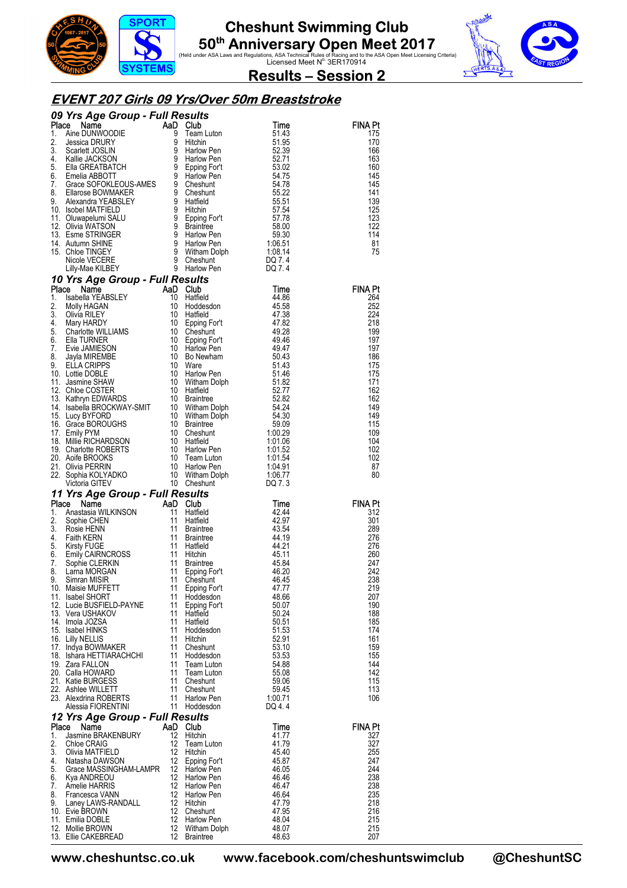





**Results – Session 2** 

#### **EVENT 207 Girls 09 Yrs/Over 50m Breaststroke**

|             |                                                                                                                                                                                                                                                                           |                         |                                                                  |                | <b>FINA Pt</b><br>175 |
|-------------|---------------------------------------------------------------------------------------------------------------------------------------------------------------------------------------------------------------------------------------------------------------------------|-------------------------|------------------------------------------------------------------|----------------|-----------------------|
|             |                                                                                                                                                                                                                                                                           |                         |                                                                  |                | 170                   |
|             |                                                                                                                                                                                                                                                                           |                         |                                                                  |                | 166                   |
|             |                                                                                                                                                                                                                                                                           |                         |                                                                  |                | 163<br>160            |
|             |                                                                                                                                                                                                                                                                           |                         |                                                                  |                | 145                   |
|             |                                                                                                                                                                                                                                                                           |                         |                                                                  |                | 145                   |
|             |                                                                                                                                                                                                                                                                           |                         |                                                                  |                | 141<br>139            |
|             |                                                                                                                                                                                                                                                                           |                         |                                                                  |                | 125                   |
|             |                                                                                                                                                                                                                                                                           |                         |                                                                  |                | 123                   |
|             |                                                                                                                                                                                                                                                                           |                         |                                                                  |                | 122<br>114            |
|             |                                                                                                                                                                                                                                                                           |                         |                                                                  |                | 81                    |
|             |                                                                                                                                                                                                                                                                           |                         |                                                                  |                | 75                    |
|             |                                                                                                                                                                                                                                                                           |                         |                                                                  |                |                       |
|             | <b>COMPARENT CONSUMPLE SERVITS</b><br>1. Aine DUNIVOODIE and Lution<br>1. Aine DUNIVOODIE 9 Team Lution<br>2. Jessica DRURY 9 Hichin 51.43<br>2. Jessica DRURY 9 Hichin 51.95<br>4. Kallie JACKSON 9 Harlow Pen<br>52.39<br>4. Kallie GREATBATCH                          |                         |                                                                  |                |                       |
|             |                                                                                                                                                                                                                                                                           |                         |                                                                  |                | <b>FINA Pt</b>        |
|             |                                                                                                                                                                                                                                                                           |                         |                                                                  |                | 264                   |
|             |                                                                                                                                                                                                                                                                           |                         |                                                                  |                | 252                   |
|             |                                                                                                                                                                                                                                                                           |                         |                                                                  |                | 224<br>218            |
|             |                                                                                                                                                                                                                                                                           |                         |                                                                  |                | 199                   |
|             |                                                                                                                                                                                                                                                                           |                         |                                                                  |                | 197                   |
|             |                                                                                                                                                                                                                                                                           |                         |                                                                  |                | 197<br>186            |
|             |                                                                                                                                                                                                                                                                           |                         |                                                                  |                | 175                   |
|             |                                                                                                                                                                                                                                                                           |                         |                                                                  |                | 175                   |
|             |                                                                                                                                                                                                                                                                           |                         |                                                                  |                | 171<br>162            |
|             |                                                                                                                                                                                                                                                                           |                         |                                                                  |                | 162                   |
|             |                                                                                                                                                                                                                                                                           |                         |                                                                  |                | 149                   |
|             |                                                                                                                                                                                                                                                                           |                         |                                                                  |                | 149<br>115            |
|             |                                                                                                                                                                                                                                                                           |                         |                                                                  |                | 109                   |
|             |                                                                                                                                                                                                                                                                           |                         |                                                                  |                | 104                   |
|             |                                                                                                                                                                                                                                                                           |                         |                                                                  |                | 102<br>102            |
|             |                                                                                                                                                                                                                                                                           |                         |                                                                  |                | 87                    |
|             |                                                                                                                                                                                                                                                                           |                         |                                                                  |                |                       |
|             |                                                                                                                                                                                                                                                                           |                         |                                                                  |                | 80                    |
|             |                                                                                                                                                                                                                                                                           |                         |                                                                  |                |                       |
|             | 11 Yrs Age Group - Full Results                                                                                                                                                                                                                                           |                         |                                                                  |                |                       |
| Place<br>1. | Lilly-Mae KILBEY<br><b>10 Yrs Age Group - Full Results</b><br><b>10 Yrs Age Group - Full Results</b><br>1. Isabella YEABSLEY<br>10 Haffield<br>1. Isabella YEABSLEY<br>10 Haffield<br>10 Haffield<br>4.36<br>2. Molly HAGAN<br>10 Haffield<br>6. Elia TURNER<br>          |                         |                                                                  | Time           | <b>FINA Pt</b><br>312 |
| 2.          |                                                                                                                                                                                                                                                                           |                         | Hatfield<br>Hatfield                                             | 42.44<br>42.97 | 301                   |
| 3.          |                                                                                                                                                                                                                                                                           |                         |                                                                  | 43.54          | 289                   |
| 4.          |                                                                                                                                                                                                                                                                           |                         |                                                                  | 44.19          | 276                   |
| 5.<br>6.    |                                                                                                                                                                                                                                                                           |                         | Fraintree<br>Braintree<br>Hatfield<br>Hitchin<br>Hitchin         | 44.21<br>45.11 | 276<br>260            |
| 7.          |                                                                                                                                                                                                                                                                           |                         |                                                                  | 45.84          | 247                   |
| 8.          |                                                                                                                                                                                                                                                                           |                         |                                                                  | 46.20          | 242                   |
| 9.          | <b>FIS Age Group - Full Result.</b><br>Ce Names AaD Club<br>Anastasia WILKINSON 11 Haffie<br>Sophie CHEN 11 Braint<br>Faith KERN 11 Braint<br>Faith KERN 11 Braint<br>Emily CAIRNCROSS 11 Hitchi<br>Sophie CLERKIN 11 Braint<br>Lama MORGAN 11 Eppi<br>10. Maisie MUFFETT | 11                      | Hitchin<br>Braintree<br>Epping For't<br>Cheshunt<br>Epping For't | 46.45<br>47.77 | 238<br>219            |
|             | 11. Isabel SHORT                                                                                                                                                                                                                                                          | 11                      | Hoddesdon                                                        | 48.66          | 207                   |
|             | 12. Lucie BUSFIELD-PAYNE                                                                                                                                                                                                                                                  | 11                      | Epping For't                                                     | 50.07          | 190                   |
|             | 13. Vera USHAKOV<br>14. Imola JOZSA                                                                                                                                                                                                                                       | 11<br>11                | Hatfield<br>Hatfield                                             | 50.24<br>50.51 | 188<br>185            |
|             | 15. Isabel HINKS                                                                                                                                                                                                                                                          | 11                      | Hoddesdon                                                        | 51.53          | 174                   |
|             | 16. Lilly NELLIS                                                                                                                                                                                                                                                          | 11                      | Hitchin                                                          | 52.91          | 161                   |
|             | 17. Indya BOWMAKER<br>18. Ishara HETTIARACHCHI                                                                                                                                                                                                                            | 11<br>11                | Cheshunt<br>Hoddesdon                                            | 53.10<br>53.53 | 159<br>155            |
|             | 19. Zara FALLON                                                                                                                                                                                                                                                           | 11                      | Team Luton                                                       | 54.88          | 144                   |
|             | 20. Calla HOWARD                                                                                                                                                                                                                                                          | 11                      | Team Luton                                                       | 55.08          | 142                   |
|             | 21. Katie BURGESS<br>22. Ashlee WILLETT                                                                                                                                                                                                                                   | 11<br>11                | Cheshunt<br>Cheshunt                                             | 59.06<br>59.45 | 115<br>113            |
|             | 23. Alexdrina ROBERTS                                                                                                                                                                                                                                                     | 11                      | Harlow Pen                                                       | 1:00.71        | 106                   |
|             | Alessia FIORENTINI                                                                                                                                                                                                                                                        | 11                      | Hoddesdon                                                        | DQ 4.4         |                       |
|             | 12 Yrs Age Group - Full Results                                                                                                                                                                                                                                           |                         |                                                                  |                |                       |
| Place<br>1. | Name<br>Jasmine BRAKENBURY                                                                                                                                                                                                                                                | 12                      | AaD Club<br>Hitchin                                              | Time<br>41.77  | <b>FINA Pt</b><br>327 |
| 2.          | Chloe CRAIG                                                                                                                                                                                                                                                               | 12                      | Team Luton                                                       | 41.79          | 327                   |
| 3.          | Olivia MATFIELD                                                                                                                                                                                                                                                           | 12                      | Hitchin                                                          | 45.40          | 255                   |
| 4.<br>5.    | Natasha DAWSON<br>Grace MASSINGHAM-LAMPR                                                                                                                                                                                                                                  | $12 \overline{ }$<br>12 | Epping For't<br>Harlow Pen                                       | 45.87<br>46.05 | 247<br>244            |
| 6.          | Kya ANDREOU                                                                                                                                                                                                                                                               | 12                      | Harlow Pen                                                       | 46.46          | 238                   |
| 7.          | Amelie HARRIS                                                                                                                                                                                                                                                             | $12 \overline{ }$       | Harlow Pen                                                       | 46.47          | 238                   |
| 8.<br>9.    | Francesca VANN<br>Laney LAWS-RANDALL                                                                                                                                                                                                                                      | 12<br>12                | Harlow Pen<br>Hitchin                                            | 46.64<br>47.79 | 235<br>218            |
|             | 10. Evie BROWN                                                                                                                                                                                                                                                            | $12 \overline{ }$       | Cheshunt                                                         | 47.95          | 216                   |
|             | 11. Emilia DOBLE<br>12. Mollie BROWN                                                                                                                                                                                                                                      | 12<br>12                | Harlow Pen<br>Witham Dolph                                       | 48.04<br>48.07 | 215<br>215            |

**www.cheshuntsc.co.uk www.facebook.com/cheshuntswimclub @CheshuntSC**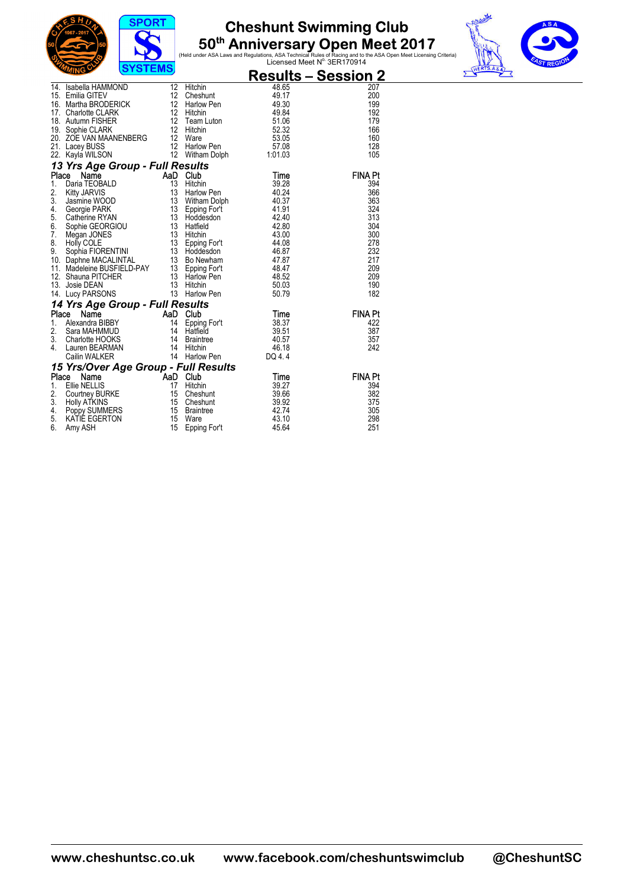





|    | ,,,,,,,,,                                                                                                                                                                                                                                                       |    |                                                                        |        | <u> Results – Session 2 </u> |
|----|-----------------------------------------------------------------------------------------------------------------------------------------------------------------------------------------------------------------------------------------------------------------|----|------------------------------------------------------------------------|--------|------------------------------|
|    | 14. Isabella HAMMOND<br>12. Hitchin 148.65<br>15. Emilia GITEV 12. Cheshunt<br>16. Martha BRODERICK 12. Harlow Pen 149.30<br>17. Charlotte CLARK 12. Hitchin 149.84<br>18. Autumn FISHER 12. Hitchin 52.32<br>20. ZOE VAN MAANENBERG 12. W                      |    |                                                                        |        | 207                          |
|    |                                                                                                                                                                                                                                                                 |    |                                                                        |        | 200                          |
|    |                                                                                                                                                                                                                                                                 |    |                                                                        |        | 199                          |
|    |                                                                                                                                                                                                                                                                 |    |                                                                        |        | 192                          |
|    |                                                                                                                                                                                                                                                                 |    |                                                                        |        | 179                          |
|    |                                                                                                                                                                                                                                                                 |    |                                                                        |        | 166<br>160                   |
|    |                                                                                                                                                                                                                                                                 |    |                                                                        |        | 128                          |
|    |                                                                                                                                                                                                                                                                 |    |                                                                        |        | 105                          |
|    | 13 Yrs Age Group - Full Results                                                                                                                                                                                                                                 |    |                                                                        |        |                              |
|    | <b>13 Yrs Age Group - Full Results<br/> Place Name<br/> 2. Kitty JARVIS 13 Hitchin 39.28<br/> 2. Kitty JARVIS 13 Harlow Pen<br/> 3. Jasmine WOOD 13 Witham Dolph 40.37<br/> 4. Georgie PARK 13 Epping Fort 41.91<br/> 6. Sophie GEORGIOU 13 Hatfield<br/> 7</b> |    |                                                                        |        | <b>FINA Pt</b>               |
|    |                                                                                                                                                                                                                                                                 |    |                                                                        |        | 394                          |
|    |                                                                                                                                                                                                                                                                 |    |                                                                        |        | 366                          |
|    |                                                                                                                                                                                                                                                                 |    |                                                                        |        | 363                          |
|    |                                                                                                                                                                                                                                                                 |    |                                                                        |        | 324                          |
|    |                                                                                                                                                                                                                                                                 |    |                                                                        |        | 313                          |
|    |                                                                                                                                                                                                                                                                 |    |                                                                        |        | 304                          |
|    |                                                                                                                                                                                                                                                                 |    |                                                                        |        | 300                          |
|    |                                                                                                                                                                                                                                                                 |    |                                                                        |        | 278                          |
|    |                                                                                                                                                                                                                                                                 |    |                                                                        |        | 232<br>217                   |
|    |                                                                                                                                                                                                                                                                 |    |                                                                        |        | 209                          |
|    |                                                                                                                                                                                                                                                                 |    |                                                                        |        | 209                          |
|    |                                                                                                                                                                                                                                                                 |    |                                                                        |        | 190                          |
|    |                                                                                                                                                                                                                                                                 |    |                                                                        |        | 182                          |
|    | 14 Yrs Age Group - Full Results                                                                                                                                                                                                                                 |    | <b>SCULTS<br/> Club</b><br>Epping Fort<br>Hatfield<br>Braintree 40.519 |        |                              |
|    | Place<br><b>Principal City of AaD Club</b><br>Alexandra BIBBY<br>Aand Club<br>Alexandra BIBBY<br>Sara MAHMMUD 14 Haffield<br>Charlotte HOOKS 14 Braintree<br>Lauren BEARMAN 14 Hitchin<br>Cailin WALKER 14 Harlow Pen                                           |    |                                                                        |        | <b>FINA Pt</b>               |
| 1. |                                                                                                                                                                                                                                                                 |    |                                                                        |        | 422                          |
| 2. |                                                                                                                                                                                                                                                                 |    |                                                                        |        | 387                          |
| 3. |                                                                                                                                                                                                                                                                 |    |                                                                        |        | 357                          |
| 4. |                                                                                                                                                                                                                                                                 |    |                                                                        | 46.18  | 242                          |
|    |                                                                                                                                                                                                                                                                 |    |                                                                        | DQ 4.4 |                              |
|    | <b>15 Yrs/Over Age Group - Full Results<br/> Place Name AaD Club<br/> 1. Ellie NELLIS 17 Hitchin 199.27<br/> 2. Courtney BURKE 15 Cheshunt 39.66</b>                                                                                                            |    |                                                                        |        | <b>FINA Pt</b>               |
|    |                                                                                                                                                                                                                                                                 |    |                                                                        |        | 394                          |
|    | Ce Name Han Club<br>Ellie NELLIS 17 Hitchin<br>Courtney BURKE 15 Cheshunt<br>Holpy SUMMERS 15 Cheshunt<br>KATIF FCEPTON 15 Braintree                                                                                                                            |    |                                                                        |        | 382                          |
| 3. |                                                                                                                                                                                                                                                                 |    |                                                                        | 39.92  | 375                          |
| 4. |                                                                                                                                                                                                                                                                 |    |                                                                        | 42.74  | 305                          |
| 5. | KATIÉ EGERTON<br>Amy ASH                                                                                                                                                                                                                                        | 15 |                                                                        | 43.10  | 298                          |
| 6. | Amy ASH                                                                                                                                                                                                                                                         | 15 | Ware<br>Epping For't                                                   | 45.64  | 251                          |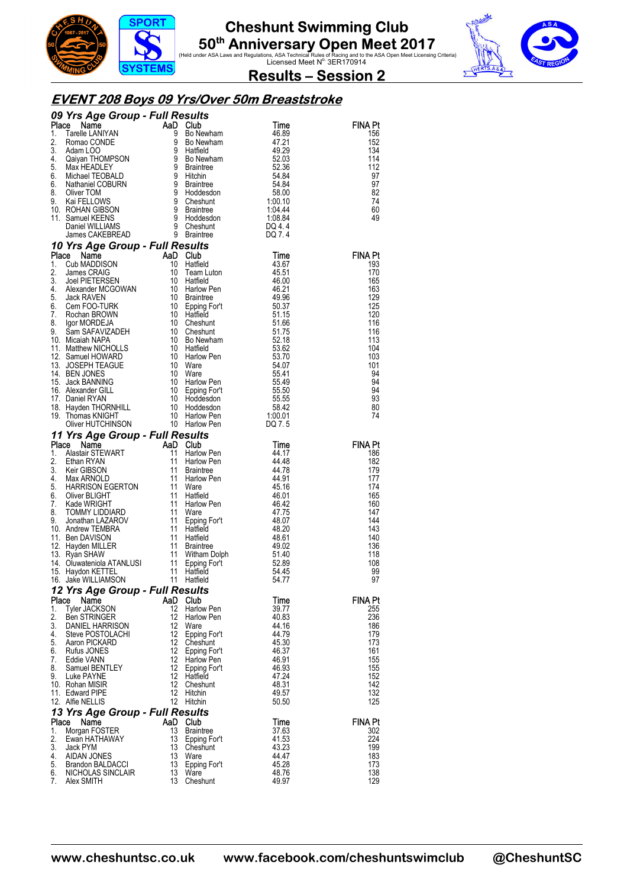



 $\overline{\mathbf{v}}$ 

**Results – Session 2** 

#### **EVENT 208 Boys 09 Yrs/Over 50m Breaststroke**

|             | 09 Yrs Age Group - Full Results                                                                                                                                                                                                                                                           |           |                                                      |                                    |                       |
|-------------|-------------------------------------------------------------------------------------------------------------------------------------------------------------------------------------------------------------------------------------------------------------------------------------------|-----------|------------------------------------------------------|------------------------------------|-----------------------|
|             |                                                                                                                                                                                                                                                                                           |           |                                                      | Time<br>46.89                      | FINA Pt<br>156        |
|             |                                                                                                                                                                                                                                                                                           |           |                                                      | 47.21                              | 152                   |
|             |                                                                                                                                                                                                                                                                                           |           |                                                      | 49.29                              | 134                   |
|             |                                                                                                                                                                                                                                                                                           |           |                                                      | 52.03                              | 114                   |
|             |                                                                                                                                                                                                                                                                                           |           |                                                      | 52.36<br>54.84                     | 112<br>97             |
|             |                                                                                                                                                                                                                                                                                           |           |                                                      |                                    | 97                    |
|             |                                                                                                                                                                                                                                                                                           |           |                                                      | דס<br>58.00<br>10                  | 82                    |
|             |                                                                                                                                                                                                                                                                                           |           |                                                      | $1.00.10$<br>$1.04.44$             | 74<br>60              |
|             |                                                                                                                                                                                                                                                                                           |           |                                                      | 1:08.84<br>DO 4.4                  | 49                    |
|             |                                                                                                                                                                                                                                                                                           |           |                                                      | DQ 4.4                             |                       |
|             | <b>09 Yrs Age Group - Full Results<br/> Place Name AaD Club<br/> 1. Tarelle LANIYAN<br/> 1. Tarelle LANIYAN<br/> 2. Roman CONDE 9 Bo Newham<br/> 3. Adam LOO 9 Hatfield<br/> 4. Qaiyan THOMPSON 9 Bo Newham<br/> 5. Max HEADLEY 9 Braintree<br/> 6. Michael TEOB</b>                      |           |                                                      | DQ 7.4                             |                       |
|             | 10 Yrs Age Group - Full Results<br>10 Yrs Age Group - Full Results<br>Place Name<br>1. Cub MADDISON<br>10 Hatfield<br>2. James CRAIG<br>2. James CRAIG<br>10 Hatfield<br>3. Joel PIETRSEN<br>4. Alexander MCGOWAN<br>10 Hatfield<br>4. Alexander MCGOWAN<br>10 Braintree<br>6. Cem FOO-TU |           |                                                      |                                    |                       |
|             |                                                                                                                                                                                                                                                                                           |           |                                                      | Time<br>43.67                      | <b>FINA Pt</b><br>193 |
|             |                                                                                                                                                                                                                                                                                           |           |                                                      | 45.51                              | 170                   |
|             |                                                                                                                                                                                                                                                                                           |           |                                                      | 46.00                              | 165                   |
|             |                                                                                                                                                                                                                                                                                           |           |                                                      | 46.21                              | 163                   |
|             |                                                                                                                                                                                                                                                                                           |           |                                                      | 49.96<br>50.37                     | 129<br>125            |
|             |                                                                                                                                                                                                                                                                                           |           |                                                      | 51.15                              | 120                   |
|             |                                                                                                                                                                                                                                                                                           |           |                                                      | 51.66                              | 116                   |
|             |                                                                                                                                                                                                                                                                                           |           |                                                      | 51.75<br>52.18                     | 116<br>113            |
|             |                                                                                                                                                                                                                                                                                           |           |                                                      | 53.62                              | 104                   |
|             |                                                                                                                                                                                                                                                                                           |           |                                                      | 53.70                              | 103                   |
|             |                                                                                                                                                                                                                                                                                           |           |                                                      | 54.07                              | 101                   |
|             |                                                                                                                                                                                                                                                                                           |           |                                                      | 55.41<br>55.49                     | 94<br>94              |
|             |                                                                                                                                                                                                                                                                                           |           |                                                      |                                    | 94                    |
|             |                                                                                                                                                                                                                                                                                           |           | Harlow Pen<br>Epping For't<br>''eddesdon             |                                    | 93                    |
|             |                                                                                                                                                                                                                                                                                           |           |                                                      | 55.50<br>55.55<br>58.42<br>1:00.01 | 80                    |
|             |                                                                                                                                                                                                                                                                                           |           |                                                      | DQ 7.5                             | 74                    |
|             | Oliver HUTCHINSON<br>11 Yrs Age Group - Full Results<br>Place Name<br>2. Ethan RYAN<br>2. Ethan RYAN<br>3. Keir GIBSON<br>4. Max ARNOLD<br>5. HARRISON EGERTON<br>4. Max ARNOLD<br>5. HARRISON EGERTON<br>11 Harlow F<br>6. Oliver BLIGHT<br>7. Kade W                                    |           |                                                      |                                    |                       |
|             |                                                                                                                                                                                                                                                                                           |           |                                                      | Time                               | <b>FINA Pt</b>        |
|             |                                                                                                                                                                                                                                                                                           |           | Harlow Pen                                           | 44.17                              | 186                   |
|             |                                                                                                                                                                                                                                                                                           |           | Harlow Pen<br><b>Braintree</b>                       | 44.48<br>44.78                     | 182<br>179            |
|             |                                                                                                                                                                                                                                                                                           |           | Harlow Pen                                           | 44.91                              | 177                   |
|             |                                                                                                                                                                                                                                                                                           |           |                                                      | 45.16                              | 174                   |
|             |                                                                                                                                                                                                                                                                                           |           |                                                      | 46.01                              | 165                   |
|             |                                                                                                                                                                                                                                                                                           |           | Harlow Pen                                           | 46.42<br>47.75                     | 160<br>147            |
|             |                                                                                                                                                                                                                                                                                           |           | Epping For't                                         | 48.07                              | 144                   |
|             |                                                                                                                                                                                                                                                                                           |           |                                                      | 48.20                              | 143                   |
|             |                                                                                                                                                                                                                                                                                           |           |                                                      | 48.61                              | 140<br>136            |
|             |                                                                                                                                                                                                                                                                                           |           | Braintree                                            | 49.02<br>51.40                     | 118                   |
|             |                                                                                                                                                                                                                                                                                           |           |                                                      | 52.89                              | 108                   |
|             |                                                                                                                                                                                                                                                                                           |           | Witham Dolph<br>Epping For't<br>Hatfield<br>Hatfield | 54.45                              | 99                    |
|             |                                                                                                                                                                                                                                                                                           |           |                                                      | 54.77                              | 97                    |
| Place       | 12 Yrs Age Group - Full Results<br>Name                                                                                                                                                                                                                                                   | AaD       | Club                                                 | Time                               | FINA Pt               |
| 1.          | <b>Tyler JACKSON</b>                                                                                                                                                                                                                                                                      | 12        | Harlow Pen                                           | 39.77                              | 255                   |
| 2.          | <b>Ben STRINGER</b>                                                                                                                                                                                                                                                                       | 12        | Harlow Pen                                           | 40.83                              | 236                   |
| 3.          | DANIEL HARRISON                                                                                                                                                                                                                                                                           | 12        | Ware                                                 | 44.16                              | 186                   |
| 4.<br>5.    | Steve POSTOLACHI<br>Aaron PICKARD                                                                                                                                                                                                                                                         | 12<br>12  | Epping For't<br>Cheshunt                             | 44.79<br>45.30                     | 179<br>173            |
| 6.          | Rufus JONES                                                                                                                                                                                                                                                                               | 12        | Epping For't                                         | 46.37                              | 161                   |
| 7.          | Eddie VANN                                                                                                                                                                                                                                                                                | 12        | Harlow Pen                                           | 46.91                              | 155                   |
| 8.<br>9.    | Samuel BENTLEY<br>Luke PAYNE                                                                                                                                                                                                                                                              | 12<br>12  | Epping For't<br>Hatfield                             | 46.93<br>47.24                     | 155<br>152            |
|             | 10. Rohan MISIR                                                                                                                                                                                                                                                                           | 12        | Cheshunt                                             | 48.31                              | 142                   |
|             | 11. Edward PIPE                                                                                                                                                                                                                                                                           | 12        | Hitchin                                              | 49.57                              | 132                   |
|             | 12. Alfie NELLIS                                                                                                                                                                                                                                                                          | 12        | Hitchin                                              | 50.50                              | 125                   |
|             | 13 Yrs Age Group - Full Results                                                                                                                                                                                                                                                           |           |                                                      |                                    |                       |
| Place<br>1. | Name<br>Morgan FOSTER                                                                                                                                                                                                                                                                     | AaD<br>13 | Club<br><b>Braintree</b>                             | <b>Time</b><br>37.63               | <b>FINA Pt</b><br>302 |
| 2.          | Ewan HATHAWAY                                                                                                                                                                                                                                                                             | 13        | Epping For't                                         | 41.53                              | 224                   |
| 3.          | Jack PYM                                                                                                                                                                                                                                                                                  | 13        | Cheshunt                                             | 43.23                              | 199                   |
| 4.          | AIDAN JONES                                                                                                                                                                                                                                                                               | 13        | Ware                                                 | 44.47                              | 183                   |
| 5.<br>6.    | Brandon BALDACCI<br>NICHOLAS SINCLAIR                                                                                                                                                                                                                                                     | 13<br>13  | Epping For't<br>Ware                                 | 45.28<br>48.76                     | 173<br>138            |
| 7.          | Alex SMITH                                                                                                                                                                                                                                                                                | 13        | Cheshunt                                             | 49.97                              | 129                   |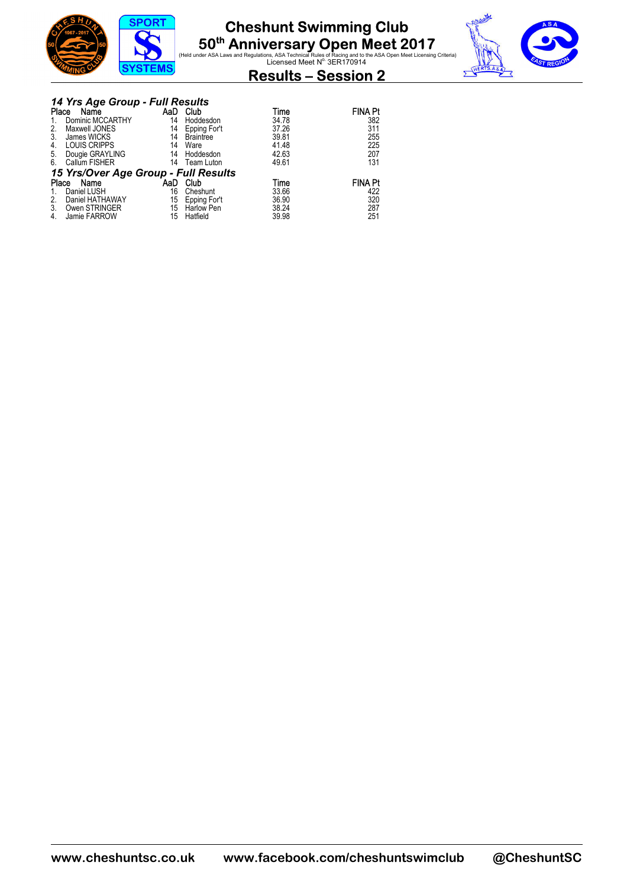



|       | 14 Yrs Age Group - Full Results      |     |                   |       |                |
|-------|--------------------------------------|-----|-------------------|-------|----------------|
| Place | Name                                 | AaD | Club              | Time  | <b>FINA Pt</b> |
|       | Dominic MCCARTHY                     | 14  | Hoddesdon         | 34.78 | 382            |
| 2.    | Maxwell JONES                        | 14  | Epping For't      | 37.26 | 311            |
| 3.    | James WICKS                          | 14  | <b>Braintree</b>  | 39.81 | 255            |
| 4.    | <b>LOUIS CRIPPS</b>                  | 14  | Ware              | 41.48 | 225            |
| 5.    | Dougie GRAYLING                      | 14  | Hoddesdon         | 42.63 | 207            |
| 6.    | Callum FISHER                        | 14  | Team Luton        | 49.61 | 131            |
|       | 15 Yrs/Over Age Group - Full Results |     |                   |       |                |
| Place | Name                                 | AaD | Club              | Time  | <b>FINA Pt</b> |
|       | Daniel LUSH                          | 16  | Cheshunt          | 33.66 | 422            |
| 2.    | Daniel HATHAWAY                      | 15  | Epping For't      | 36.90 | 320            |
| 3.    | Owen STRINGER                        | 15  | <b>Harlow Pen</b> | 38.24 | 287            |
| 4.    | Jamie FARROW                         | 15  | Hatfield          | 39.98 | 251            |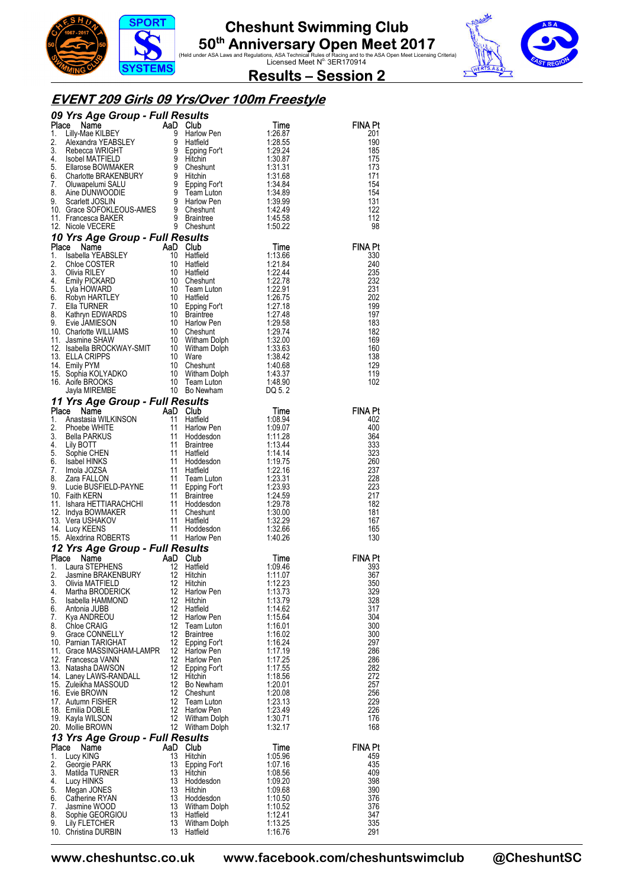





### **EVENT 209 Girls 09 Yrs/Over 100m Freestyle**

| 09 Yrs Age Group - Full Results<br>1. Lilly-Mae KILBEY<br>1. Lilly-Mae Rouge School (1997)<br>1. Lilly-Mae Rouge School (1998)<br>4. School MATHELD<br>5. Chandre BRACENBURY 9 sping Fort 129.26<br>4. Signed MATHELD<br>5. Chandre BRACENB |                                                                                                                                                                                                          |          |                                                                                          |                    |                                                                                |  |  |  |
|---------------------------------------------------------------------------------------------------------------------------------------------------------------------------------------------------------------------------------------------|----------------------------------------------------------------------------------------------------------------------------------------------------------------------------------------------------------|----------|------------------------------------------------------------------------------------------|--------------------|--------------------------------------------------------------------------------|--|--|--|
|                                                                                                                                                                                                                                             |                                                                                                                                                                                                          |          |                                                                                          |                    | <b>FINA Pt</b><br>201                                                          |  |  |  |
|                                                                                                                                                                                                                                             |                                                                                                                                                                                                          |          |                                                                                          |                    | 190                                                                            |  |  |  |
|                                                                                                                                                                                                                                             |                                                                                                                                                                                                          |          |                                                                                          |                    | 185                                                                            |  |  |  |
|                                                                                                                                                                                                                                             |                                                                                                                                                                                                          |          |                                                                                          |                    | 175                                                                            |  |  |  |
|                                                                                                                                                                                                                                             |                                                                                                                                                                                                          |          |                                                                                          |                    | 173                                                                            |  |  |  |
|                                                                                                                                                                                                                                             |                                                                                                                                                                                                          |          |                                                                                          |                    | 171                                                                            |  |  |  |
|                                                                                                                                                                                                                                             |                                                                                                                                                                                                          |          |                                                                                          |                    | 154                                                                            |  |  |  |
|                                                                                                                                                                                                                                             |                                                                                                                                                                                                          |          |                                                                                          |                    | 154<br>131                                                                     |  |  |  |
|                                                                                                                                                                                                                                             |                                                                                                                                                                                                          |          |                                                                                          |                    | 122                                                                            |  |  |  |
|                                                                                                                                                                                                                                             |                                                                                                                                                                                                          |          |                                                                                          |                    | 112                                                                            |  |  |  |
|                                                                                                                                                                                                                                             |                                                                                                                                                                                                          |          |                                                                                          |                    | 98                                                                             |  |  |  |
|                                                                                                                                                                                                                                             |                                                                                                                                                                                                          |          |                                                                                          |                    |                                                                                |  |  |  |
|                                                                                                                                                                                                                                             |                                                                                                                                                                                                          |          |                                                                                          |                    | <b>FINA Pt</b>                                                                 |  |  |  |
|                                                                                                                                                                                                                                             |                                                                                                                                                                                                          |          |                                                                                          |                    | 330                                                                            |  |  |  |
|                                                                                                                                                                                                                                             |                                                                                                                                                                                                          |          |                                                                                          |                    | 240                                                                            |  |  |  |
|                                                                                                                                                                                                                                             |                                                                                                                                                                                                          |          |                                                                                          |                    | 235<br>232                                                                     |  |  |  |
|                                                                                                                                                                                                                                             |                                                                                                                                                                                                          |          |                                                                                          |                    | 231                                                                            |  |  |  |
|                                                                                                                                                                                                                                             |                                                                                                                                                                                                          |          |                                                                                          |                    | 202                                                                            |  |  |  |
|                                                                                                                                                                                                                                             |                                                                                                                                                                                                          |          |                                                                                          |                    | 199                                                                            |  |  |  |
|                                                                                                                                                                                                                                             |                                                                                                                                                                                                          |          |                                                                                          |                    | 197                                                                            |  |  |  |
|                                                                                                                                                                                                                                             |                                                                                                                                                                                                          |          |                                                                                          |                    | 183                                                                            |  |  |  |
|                                                                                                                                                                                                                                             |                                                                                                                                                                                                          |          |                                                                                          |                    | 182<br>169                                                                     |  |  |  |
|                                                                                                                                                                                                                                             |                                                                                                                                                                                                          |          |                                                                                          |                    | 160                                                                            |  |  |  |
|                                                                                                                                                                                                                                             |                                                                                                                                                                                                          |          |                                                                                          |                    | 138                                                                            |  |  |  |
|                                                                                                                                                                                                                                             |                                                                                                                                                                                                          |          |                                                                                          |                    | 129                                                                            |  |  |  |
|                                                                                                                                                                                                                                             |                                                                                                                                                                                                          |          |                                                                                          |                    | 119                                                                            |  |  |  |
|                                                                                                                                                                                                                                             |                                                                                                                                                                                                          |          |                                                                                          |                    | 102                                                                            |  |  |  |
|                                                                                                                                                                                                                                             |                                                                                                                                                                                                          |          |                                                                                          |                    |                                                                                |  |  |  |
|                                                                                                                                                                                                                                             |                                                                                                                                                                                                          |          |                                                                                          |                    |                                                                                |  |  |  |
|                                                                                                                                                                                                                                             |                                                                                                                                                                                                          |          |                                                                                          |                    | <b>FINA Pt</b>                                                                 |  |  |  |
|                                                                                                                                                                                                                                             |                                                                                                                                                                                                          |          |                                                                                          |                    | 402                                                                            |  |  |  |
|                                                                                                                                                                                                                                             |                                                                                                                                                                                                          |          |                                                                                          |                    | 400<br>364                                                                     |  |  |  |
|                                                                                                                                                                                                                                             |                                                                                                                                                                                                          |          |                                                                                          |                    | 333                                                                            |  |  |  |
|                                                                                                                                                                                                                                             |                                                                                                                                                                                                          |          |                                                                                          |                    | 323                                                                            |  |  |  |
|                                                                                                                                                                                                                                             |                                                                                                                                                                                                          |          |                                                                                          |                    | 260                                                                            |  |  |  |
|                                                                                                                                                                                                                                             |                                                                                                                                                                                                          |          |                                                                                          |                    | 237                                                                            |  |  |  |
|                                                                                                                                                                                                                                             |                                                                                                                                                                                                          |          |                                                                                          |                    | 228<br>223                                                                     |  |  |  |
|                                                                                                                                                                                                                                             |                                                                                                                                                                                                          |          |                                                                                          |                    | 217                                                                            |  |  |  |
|                                                                                                                                                                                                                                             |                                                                                                                                                                                                          |          |                                                                                          |                    | 182                                                                            |  |  |  |
|                                                                                                                                                                                                                                             |                                                                                                                                                                                                          |          |                                                                                          |                    | 181                                                                            |  |  |  |
|                                                                                                                                                                                                                                             |                                                                                                                                                                                                          |          |                                                                                          |                    | 167                                                                            |  |  |  |
|                                                                                                                                                                                                                                             |                                                                                                                                                                                                          |          |                                                                                          |                    | 165                                                                            |  |  |  |
|                                                                                                                                                                                                                                             |                                                                                                                                                                                                          |          |                                                                                          |                    | 130                                                                            |  |  |  |
|                                                                                                                                                                                                                                             | <b>12 Yrs Age Group - Full Results<br/> Place Name AaD Club Time<br/> 1. Laura STEPHENS 12 Hatfield 1:09.46<br/> 2. Jasmine BRAKENBURY 12 Hitchin 1:11.07<br/> 3. Olivia MATFIELD 12 Hitchin 1:12.23</b> |          |                                                                                          |                    |                                                                                |  |  |  |
|                                                                                                                                                                                                                                             |                                                                                                                                                                                                          |          |                                                                                          |                    | $\begin{array}{r}\n\textbf{FINA Pt} \\ 393 \\ 367 \\ \hline\n367\n\end{array}$ |  |  |  |
|                                                                                                                                                                                                                                             |                                                                                                                                                                                                          |          |                                                                                          |                    |                                                                                |  |  |  |
|                                                                                                                                                                                                                                             |                                                                                                                                                                                                          |          |                                                                                          |                    | 350                                                                            |  |  |  |
| 4.                                                                                                                                                                                                                                          | Martha BRODERICK                                                                                                                                                                                         |          | 12 Harlow Pen                                                                            | 1:13.73            | 329                                                                            |  |  |  |
| 5.                                                                                                                                                                                                                                          | Isabella HAMMOND                                                                                                                                                                                         | 12       | Hitchin                                                                                  | 1:13.79            | 328                                                                            |  |  |  |
|                                                                                                                                                                                                                                             | 6. Antonia JUBB                                                                                                                                                                                          | 12       | Hatfield                                                                                 | 1:14.62            | 317                                                                            |  |  |  |
| 7.                                                                                                                                                                                                                                          | Kya ANDREOU                                                                                                                                                                                              | 12       | Harlow Pen                                                                               | 1:15.64            | 304                                                                            |  |  |  |
| 8.<br>9.                                                                                                                                                                                                                                    | Chloe CRAIG<br>Grace CONNELLY                                                                                                                                                                            |          | Team Luton                                                                               | 1:16.01            | 300<br>300                                                                     |  |  |  |
|                                                                                                                                                                                                                                             | 10. Pamian TARIGHAT                                                                                                                                                                                      |          | 12 I tra<br>12 Braintree<br>Fooing Fr<br>12 Epping For't                                 | 1:16.02<br>1:16.24 | 297                                                                            |  |  |  |
|                                                                                                                                                                                                                                             | 11. Grace MASSINGHAM-LAMPR 12 Harlow Pen                                                                                                                                                                 |          |                                                                                          | 1:17.19            | 286                                                                            |  |  |  |
|                                                                                                                                                                                                                                             | 12. Francesca VANN                                                                                                                                                                                       |          | 12 Harlow Pen                                                                            | 1:17.25            | 286                                                                            |  |  |  |
|                                                                                                                                                                                                                                             | 13. Natasha DAWSON                                                                                                                                                                                       |          | 12 Harlow Pen<br>12 Epping For't<br>12 Hitchin                                           | 1:17.55            | 282                                                                            |  |  |  |
|                                                                                                                                                                                                                                             | 14. Laney LAWS-RANDALL                                                                                                                                                                                   |          |                                                                                          | 1:18.56            | 272                                                                            |  |  |  |
|                                                                                                                                                                                                                                             | 15. Zuleikha MASSOUD                                                                                                                                                                                     |          | 12 Bo Newham                                                                             | 1:20.01            | 257                                                                            |  |  |  |
|                                                                                                                                                                                                                                             | 16. Evie BROWN<br>17. Autumn FISHER                                                                                                                                                                      |          |                                                                                          | 1:20.08<br>1:23.13 | 256<br>229                                                                     |  |  |  |
|                                                                                                                                                                                                                                             | 18. Emilia DOBLE                                                                                                                                                                                         |          |                                                                                          | 1:23.49            | 226                                                                            |  |  |  |
|                                                                                                                                                                                                                                             | 19. Kayla WILSON                                                                                                                                                                                         |          |                                                                                          | 1:30.71            | 176                                                                            |  |  |  |
|                                                                                                                                                                                                                                             | 20. Mollie BROWN                                                                                                                                                                                         |          | 12 Bo Newham<br>12 Cheshunt<br>12 Harlow Pen<br>12 Witham Dolph<br>12 Witham Dolph<br>14 | 1:32.17            | 168                                                                            |  |  |  |
|                                                                                                                                                                                                                                             | 13 Yrs Age Group - Full Results                                                                                                                                                                          |          |                                                                                          |                    |                                                                                |  |  |  |
|                                                                                                                                                                                                                                             | Place<br>Name                                                                                                                                                                                            |          | AaD Club                                                                                 | Time               | <b>FINA Pt</b>                                                                 |  |  |  |
| 1.                                                                                                                                                                                                                                          | Lucy KING                                                                                                                                                                                                | 13       | Hitchin                                                                                  | 1:05.96            | 459                                                                            |  |  |  |
| 2.                                                                                                                                                                                                                                          | Georgie PARK                                                                                                                                                                                             | 13       | Epping For't                                                                             | 1:07.16            | 435                                                                            |  |  |  |
| 3.                                                                                                                                                                                                                                          | Matilda TURNER<br>4. Lucy HINKS                                                                                                                                                                          | 13<br>13 | Hitchin<br>Hoddesdon                                                                     | 1:08.56<br>1:09.20 | 409<br>398                                                                     |  |  |  |
| 5.                                                                                                                                                                                                                                          | Megan JONES                                                                                                                                                                                              | 13       | Hitchin                                                                                  | 1:09.68            | 390                                                                            |  |  |  |
| 6.                                                                                                                                                                                                                                          | Catherine RYAN                                                                                                                                                                                           | 13       | Hoddesdon                                                                                | 1:10.50            | 376                                                                            |  |  |  |
| 7.                                                                                                                                                                                                                                          | Jasmine WOOD                                                                                                                                                                                             | 13       | Witham Dolph                                                                             | 1:10.52            | 376                                                                            |  |  |  |
| 8.                                                                                                                                                                                                                                          | Sophie GEORGIOU                                                                                                                                                                                          |          | 13 Hatfield                                                                              | 1:12.41            | 347                                                                            |  |  |  |
| 9.                                                                                                                                                                                                                                          | Lily FLETCHER                                                                                                                                                                                            |          | 13 Witham Dolph                                                                          | 1:13.25            | 335                                                                            |  |  |  |
|                                                                                                                                                                                                                                             | 10. Christina DURBIN                                                                                                                                                                                     |          | 13 Hatfield                                                                              | 1:16.76            | 291                                                                            |  |  |  |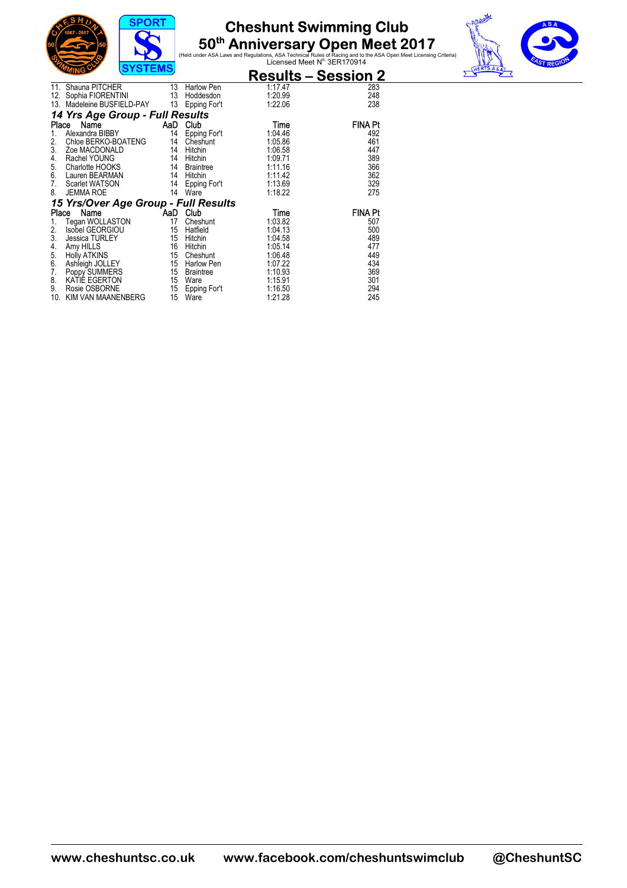





|            | $5131$ CMJ                                                        |                  |                                         | <b>Results - Session 2</b>    |                   |  |  |  |
|------------|-------------------------------------------------------------------|------------------|-----------------------------------------|-------------------------------|-------------------|--|--|--|
| 11.<br>12. | Shauna PITCHER<br>Sophia FIORENTINI<br>13. Madeleine BUSFIELD-PAY | 13<br>- 13<br>13 | Harlow Pen<br>Hoddesdon<br>Epping For't | 1:17.47<br>1:20.99<br>1:22.06 | 283<br>248<br>238 |  |  |  |
|            | 14 Yrs Age Group - Full Results                                   |                  |                                         |                               |                   |  |  |  |
| Place      | Name                                                              | AaD              | Club                                    | Time                          | FINA Pt           |  |  |  |
| 1.         | Alexandra BIBBY                                                   | 14               | Epping For't                            | 1:04.46                       | 492               |  |  |  |
| 2.         | Chloe BERKO-BOATENG                                               | 14               | Cheshunt                                | 1:05.86                       | 461               |  |  |  |
| 3.         | Zoe MACDONALD                                                     | 14               | Hitchin                                 | 1:06.58                       | 447               |  |  |  |
| 4.         | Rachel YOUNG                                                      | 14               | Hitchin                                 | 1:09.71                       | 389               |  |  |  |
| 5.         | Charlotte HOOKS                                                   | 14               | Braintree                               | 1:11.16                       | 366               |  |  |  |
| 6.         | Lauren BEARMAN                                                    | 14               | Hitchin                                 | 1:11.42                       | 362               |  |  |  |
| 7.         | Scarlet WATSON                                                    | 14               | Epping For't                            | 1:13.69                       | 329               |  |  |  |
| 8.         | <b>JEMMA ROE</b>                                                  | 14               | Ware                                    | 1:18.22                       | 275               |  |  |  |
|            | 15 Yrs/Over Age Group - Full Results                              |                  |                                         |                               |                   |  |  |  |
| Place      | Name                                                              | <b>AaD</b>       | Club                                    | Time                          | <b>FINA Pt</b>    |  |  |  |
| 1.         | Tegan WOLLASTON                                                   | 17               | Cheshunt                                | 1:03.82                       | 507               |  |  |  |
| 2.         | Isobel GEORGIOU                                                   | 15               | Hatfield                                | 1:04.13                       | 500               |  |  |  |
| 3.         | <b>Jessica TURLEY</b>                                             | 15               | Hitchin                                 | 1:04.58                       | 489               |  |  |  |
| 4.         | Amy HILLS                                                         | 16               | Hitchin                                 | 1:05.14                       | 477               |  |  |  |
| 5.         | <b>Holly ATKINS</b>                                               | 15               | Cheshunt                                | 1:06.48                       | 449               |  |  |  |
| 6.         | Ashleigh JOLLEY                                                   | 15               | Harlow Pen                              | 1:07.22                       | 434               |  |  |  |
| 7.         | Poppy SUMMERS                                                     | 15               | <b>Braintree</b>                        | 1:10.93                       | 369               |  |  |  |
| 8.         | KATIÉ EGERTON                                                     | 15               | Ware                                    | 1:15.91                       | 301               |  |  |  |
| 9.         | Rosie OSBORNE                                                     | 15               | Epping For't                            | 1:16.50                       | 294               |  |  |  |
| 10.        | KIM VAN MAANENBERG                                                | 15               | Ware                                    | 1:21.28                       | 245               |  |  |  |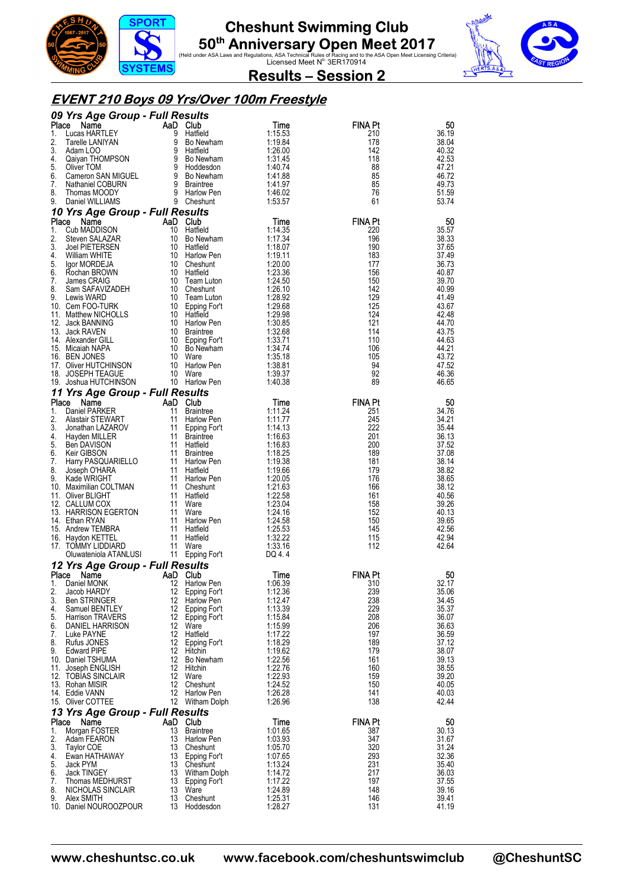





**Results – Session 2** 

### **EVENT 210 Boys 09 Yrs/Over 100m Freestyle**

|             | 09 Yrs Age Group - Full Results          |                |                                    |                    |                       |                |  |  |
|-------------|------------------------------------------|----------------|------------------------------------|--------------------|-----------------------|----------------|--|--|
| Place<br>1. | Name<br>Lucas HARTLEY                    | AaD Club<br>9  | Hatfield                           | Time<br>1:15.53    | <b>FINA Pt</b><br>210 | 50<br>36.19    |  |  |
| 2.          | Tarelle LANIYAN                          |                | 9 Bo Newham                        | 1:19.84            | 178                   | 38.04          |  |  |
| 3.          | Adam LOO                                 |                | 9 Bu<br>9 Hatfield<br>Po New       | 1:26.00            | 142                   | 40.32          |  |  |
| 4.          | Qaiyan THOMPSON                          | $\overline{9}$ | Bo Newham                          | 1:31.45            | 118                   | 42.53          |  |  |
| 5.<br>6.    | Oliver TOM<br>Cameron SAN MIGUEL         |                | 9 Hoddesdon<br>9 Bo Newham         | 1:40.74<br>1:41.88 | 88<br>85              | 47.21<br>46.72 |  |  |
| 7.          | Nathaniel COBURN                         |                | 9 Braintree                        | 1:41.97            | 85                    | 49.73          |  |  |
| 8.          | Thomas MOODY                             |                | 9 Harlow Pen                       | 1:46.02            | 76                    | 51.59          |  |  |
| 9.          | Daniel WILLIAMS                          | 9 Cheshunt     |                                    | 1:53.57            | 61                    | 53.74          |  |  |
|             | 10 Yrs Age Group - Full Results          |                |                                    |                    |                       |                |  |  |
| Place       | Name                                     | AaD Club       |                                    | Time               | <b>FINA Pt</b>        | 50             |  |  |
| 1.<br>2.    | Cub MADDISON<br>Steven SALAZAR           | 10<br>10       | Hatfield<br>Bo Newham              | 1:14.35<br>1:17.34 | 220<br>196            | 35.57<br>38.33 |  |  |
| 3.          | <b>Joel PIETERSEN</b>                    |                | 10 Hatfield                        | 1:18.07            | 190                   | 37.65          |  |  |
| 4.          | William WHITE                            |                | 10 Harlow Pen                      | 1:19.11            | 183                   | 37.49          |  |  |
| 5.          | Igor MORDEJA                             |                | 10 Cheshunt                        | 1:20.00            | 177                   | 36.73          |  |  |
| 6.<br>7.    | Rochan BROWN<br>James CRAIG              |                | 10 Hatfield<br>10 Team Luton       | 1:23.36<br>1:24.50 | 156<br>150            | 40.87<br>39.70 |  |  |
| 8.          | Sam SAFAVIZADEH                          |                | 10 Cheshunt                        | 1:26.10            | 142                   | 40.99          |  |  |
| 9.          | Lewis WARD                               |                | 10 Team Luton                      | 1:28.92            | 129                   | 41.49          |  |  |
|             | 10. Cem FOO-TURK                         |                | 10 Epping For't                    | 1:29.68            | 125                   | 43.67          |  |  |
|             | 11. Matthew NICHOLLS<br>12. Jack BANNING |                | 10 Hatfield<br>10 Harlow Pen       | 1:29.98<br>1:30.85 | 124<br>121            | 42.48<br>44.70 |  |  |
|             | 13. Jack RAVEN                           |                | 10 Braintree                       | 1:32.68            | 114                   | 43.75          |  |  |
|             | 14. Alexander GILL                       |                | 10 Epping For't                    | 1:33.71            | 110                   | 44.63          |  |  |
|             | 15. Micaiah NAPA                         |                | 10 Bo Newham                       | 1:34.74            | 106                   | 44.21          |  |  |
|             | 16. BEN JONES<br>17. Oliver HUTCHINSON   |                | 10 Ware<br>10 Harlow Pen           | 1:35.18<br>1:38.81 | 105<br>94             | 43.72<br>47.52 |  |  |
|             | 18. JOSEPH TEAGUE                        |                | 10 Ware                            | 1:39.37            | 92                    | 46.36          |  |  |
|             | 19. Joshua HUTCHINSON                    |                | 10 Harlow Pen                      | 1:40.38            | 89                    | 46.65          |  |  |
|             | 11 Yrs Age Group - Full Results          |                |                                    |                    |                       |                |  |  |
| Place       | Name                                     | AaD Club       |                                    | Time               | <b>FINA Pt</b>        | 50             |  |  |
| 1.<br>2.    | Daniel PARKER<br>Alastair STEWART        | 11             | <b>Braintree</b><br>11 Harlow Pen  | 1:11.24<br>1:11.77 | 251<br>245            | 34.76<br>34.21 |  |  |
| 3.          | Jonathan LAZAROV                         |                | 11 Epping For't                    | 1:14.13            | 222                   | 35.44          |  |  |
| 4.          | Hayden MILLER                            |                | 11 Braintree                       | 1:16.63            | 201                   | 36.13          |  |  |
| 5.          | Ben DAVISON                              |                | 11 Hatfield                        | 1:16.83            | 200                   | 37.52          |  |  |
| 6.<br>7.    | Keir GIBSON<br>Harry PASQUARIELLO        |                | 11 Braintree<br>11 Harlow Pen      | 1:18.25<br>1:19.38 | 189<br>181            | 37.08<br>38.14 |  |  |
| 8.          | Joseph O'HARA                            |                | 11 Hatfield                        | 1:19.66            | 179                   | 38.82          |  |  |
| 9.          | Kade WRIGHT                              |                | 11 Harlow Pen                      | 1:20.05            | 176                   | 38.65          |  |  |
|             | 10. Maximilian COLTMAN                   |                | 11 Cheshunt                        | 1:21.63            | 166                   | 38.12          |  |  |
|             | 11. Oliver BLIGHT<br>12. CALLUM COX      |                | 11 Hatfield<br>11 Ware             | 1:22.58<br>1:23.04 | 161<br>158            | 40.56<br>39.26 |  |  |
|             | 13. HARRISON EGERTON                     |                | 11 Ware                            | 1:24.16            | 152                   | 40.13          |  |  |
|             | 14. Ethan RYAN                           |                | 11 Harlow Pen                      | 1:24.58            | 150                   | 39.65          |  |  |
|             | 15. Andrew TEMBRA                        |                | 11 Hatfield                        | 1:25.53            | 145                   | 42.56          |  |  |
|             | 16. Haydon KETTEL<br>17. TOMMY LIDDIARD  |                | 11 Hatfield<br>11 Ware             | 1:32.22<br>1:33.16 | 115<br>112            | 42.94<br>42.64 |  |  |
|             | Oluwateniola ATANLUSI                    |                | 11 Epping For't                    | DQ 4.4             |                       |                |  |  |
|             | 12 Yrs Age Group - Full Results          |                |                                    |                    |                       |                |  |  |
| Place       | Name                                     | AaD Club       |                                    | Time               | <b>FINA Pt</b>        | 50             |  |  |
|             | 1. Daniel MONK                           |                | 12 Harlow Pen                      | 1:06.39            | 310                   | 32.17          |  |  |
| 2.<br>3.    | Jacob HARDY<br><b>Ben STRINGER</b>       |                | 12 Epping For't<br>12 Harlow Pen   | 1:12.36<br>1:12.47 | 239<br>238            | 35.06<br>34.45 |  |  |
| 4.          | Samuel BENTLEY                           |                | 12 Epping For't                    | 1:13.39            | 229                   | 35.37          |  |  |
| 5.          | <b>Harrison TRAVERS</b>                  |                | 12 Epping For't                    | 1:15.84            | 208                   | 36.07          |  |  |
| 6.          | DANIEL HARRISON                          |                | 12 Ware                            | 1:15.99            | 206                   | 36.63          |  |  |
| 7.<br>8.    | Luke PAYNE<br>Rufus JONES                |                | 12 Hatfield<br>12 Epping For't     | 1:17.22<br>1:18.29 | 197<br>189            | 36.59<br>37.12 |  |  |
| 9.          | <b>Edward PIPE</b>                       |                | 12 Hitchin                         | 1:19.62            | 179                   | 38.07          |  |  |
|             | 10. Daniel TSHUMA                        |                | 12 Bo Newham                       | 1:22.56            | 161                   | 39.13          |  |  |
|             | 11. Joseph ENGLISH                       |                | 12 Hitchin<br>12 Ware              | 1:22.76<br>1:22.93 | 160<br>159            | 38.55<br>39.20 |  |  |
|             | 12. TOBIAS SINCLAIR<br>13. Rohan MISIR   |                | 12 Cheshunt                        | 1:24.52            | 150                   | 40.05          |  |  |
|             | 14. Eddie VANN                           |                | 12 Harlow Pen                      | 1:26.28            | 141                   | 40.03          |  |  |
|             | 15. Oliver COTTEE                        |                | 12 Witham Dolph                    | 1:26.96            | 138                   | 42.44          |  |  |
|             | 13 Yrs Age Group - Full Results          |                |                                    |                    |                       |                |  |  |
|             | Place Name                               | AaD Club       |                                    | Time               | <b>FINA Pt</b>        | 50             |  |  |
| 1.<br>2.    | Morgan FOSTER<br>Adam FEARON             | 13<br>13       | <b>Braintree</b><br>Harlow Pen     | 1:01.65<br>1.03.93 | 387<br>347            | 30.13<br>31.67 |  |  |
| 3.          | Taylor COE                               | 13             | Cheshunt                           | 1:05.70            | 320                   | 31.24          |  |  |
| 4.          | Ewan HATHAWAY                            |                | 13 Epping For't                    | 1:07.65            | 293                   | 32.36          |  |  |
| 5.          | Jack PYM                                 |                | 13 Cheshunt                        | 1:13.24            | 231                   | 35.40          |  |  |
| 6.<br>7.    | <b>Jack TINGEY</b><br>Thomas MEDHURST    |                | 13 Witham Dolph<br>13 Epping For't | 1:14.72<br>1:17.22 | 217<br>197            | 36.03<br>37.55 |  |  |
| 8.          | NICHOLAS SINCLAIR                        |                | 13 Ware                            | 1:24.89            | 148                   | 39.16          |  |  |
| 9.          | Alex SMITH                               |                | 13 Cheshunt                        | 1:25.31            | 146                   | 39.41          |  |  |
|             | 10. Daniel NOUROOZPOUR                   |                | 13 Hoddesdon                       | 1:28.27            | 131                   | 41.19          |  |  |